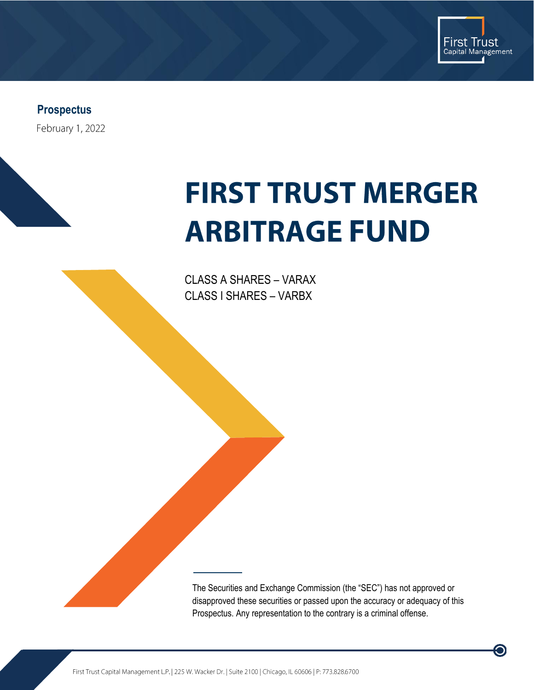

 $\bigcirc$ 

**Prospectus**

February 1, 2022

# **FIRST TRUST MERGER ARBITRAGE FUND**

CLASS A SHARES – VARAX CLASS I SHARES – VARBX

The Securities and Exchange Commission (the "SEC") has not approved or disapproved these securities or passed upon the accuracy or adequacy of this Prospectus. Any representation to the contrary is a criminal offense.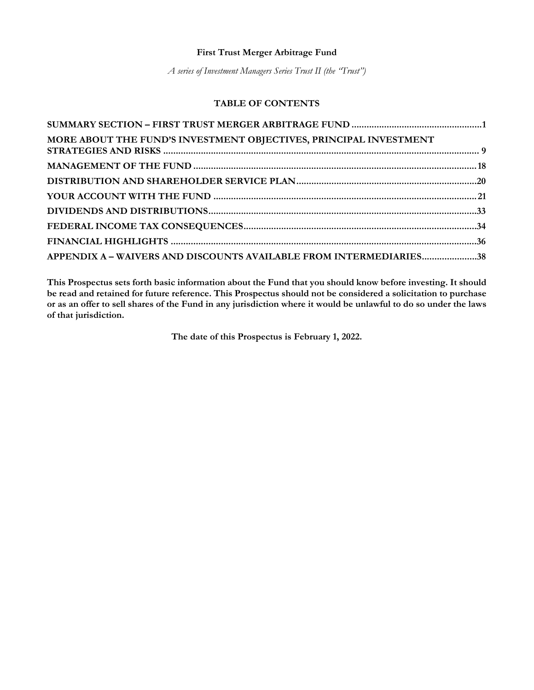## **First Trust Merger Arbitrage Fund**

*A series of Investment Managers Series Trust II (the "Trust")*

# **TABLE OF CONTENTS**

| MORE ABOUT THE FUND'S INVESTMENT OBJECTIVES, PRINCIPAL INVESTMENT  |  |
|--------------------------------------------------------------------|--|
|                                                                    |  |
|                                                                    |  |
|                                                                    |  |
|                                                                    |  |
|                                                                    |  |
|                                                                    |  |
| APPENDIX A - WAIVERS AND DISCOUNTS AVAILABLE FROM INTERMEDIARIES38 |  |

**This Prospectus sets forth basic information about the Fund that you should know before investing. It should be read and retained for future reference. This Prospectus should not be considered a solicitation to purchase or as an offer to sell shares of the Fund in any jurisdiction where it would be unlawful to do so under the laws of that jurisdiction.** 

**The date of this Prospectus is February 1, 2022.**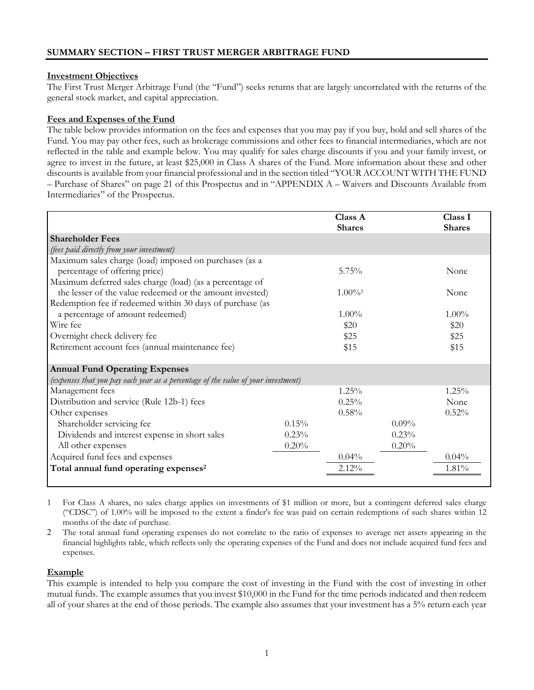## **Investment Objectives**

The First Trust Merger Arbitrage Fund (the "Fund") seeks returns that are largely uncorrelated with the returns of the general stock market, and capital appreciation.

## **Fees and Expenses of the Fund**

The table below provides information on the fees and expenses that you may pay if you buy, hold and sell shares of the Fund. You may pay other fees, such as brokerage commissions and other fees to financial intermediaries, which are not reflected in the table and example below. You may qualify for sales charge discounts if you and your family invest, or agree to invest in the future, at least \$25,000 in Class A shares of the Fund. More information about these and other discounts is available from your financial professional and in the section titled "YOUR ACCOUNT WITH THE FUND – Purchase of Shares" on page 21 of this Prospectus and in "APPENDIX A – Waivers and Discounts Available from Intermediaries" of the Prospectus.

|                                                                                   |       | Class A<br><b>Shares</b> |          | Class I<br><b>Shares</b> |
|-----------------------------------------------------------------------------------|-------|--------------------------|----------|--------------------------|
| <b>Shareholder Fees</b>                                                           |       |                          |          |                          |
| (fees paid directly from your investment)                                         |       |                          |          |                          |
| Maximum sales charge (load) imposed on purchases (as a                            |       |                          |          |                          |
| percentage of offering price)                                                     |       | $5.75\%$                 |          | None                     |
| Maximum deferred sales charge (load) (as a percentage of                          |       |                          |          |                          |
| the lesser of the value redeemed or the amount invested)                          |       | $1.00\%$ <sup>1</sup>    |          | None                     |
| Redemption fee if redeemed within 30 days of purchase (as                         |       |                          |          |                          |
| a percentage of amount redeemed)                                                  |       | $1.00\%$                 |          | $1.00\%$                 |
| Wire fee                                                                          |       | \$20                     |          | \$20                     |
| Overnight check delivery fee                                                      |       | \$25                     |          | \$25                     |
| Retirement account fees (annual maintenance fee)                                  |       | \$15                     |          | \$15                     |
| <b>Annual Fund Operating Expenses</b>                                             |       |                          |          |                          |
| (expenses that you pay each year as a percentage of the value of your investment) |       |                          |          |                          |
| Management fees                                                                   |       | 1.25%                    |          | 1.25%                    |
| Distribution and service (Rule 12b-1) fees                                        |       | 0.25%                    |          | None                     |
| Other expenses                                                                    |       | 0.58%                    |          | 0.52%                    |
| Shareholder servicing fee                                                         | 0.15% |                          | $0.09\%$ |                          |
| Dividends and interest expense in short sales                                     | 0.23% |                          | 0.23%    |                          |
| All other expenses                                                                | 0.20% |                          | 0.20%    |                          |
| Acquired fund fees and expenses                                                   |       | $0.04\%$                 |          | 0.04%                    |
| Total annual fund operating expenses <sup>2</sup>                                 |       | 2.12%                    |          | 1.81%                    |
|                                                                                   |       |                          |          |                          |

1 For Class A shares, no sales charge applies on investments of \$1 million or more, but a contingent deferred sales charge ("CDSC") of 1.00% will be imposed to the extent a finder's fee was paid on certain redemptions of such shares within 12 months of the date of purchase.

2 The total annual fund operating expenses do not correlate to the ratio of expenses to average net assets appearing in the financial highlights table, which reflects only the operating expenses of the Fund and does not include acquired fund fees and expenses.

# **Example**

This example is intended to help you compare the cost of investing in the Fund with the cost of investing in other mutual funds. The example assumes that you invest \$10,000 in the Fund for the time periods indicated and then redeem all of your shares at the end of those periods. The example also assumes that your investment has a 5% return each year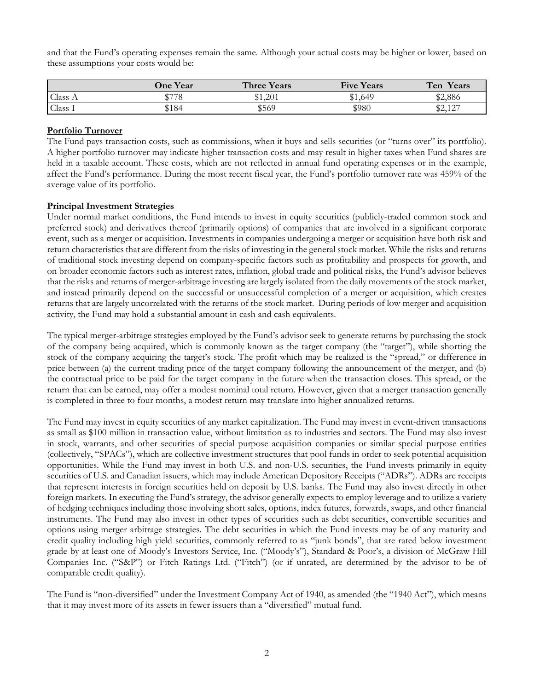and that the Fund's operating expenses remain the same. Although your actual costs may be higher or lower, based on these assumptions your costs would be:

|                 | <b>One Year</b> | <b>Three Years</b> | <b>Five Years</b> | Ten<br>Years              |
|-----------------|-----------------|--------------------|-------------------|---------------------------|
| Class $\Lambda$ | \$778           | \$1.201            | \$1,649           | \$2,886                   |
| Class I         | \$184           | \$569              | \$980             | \$2127<br>$\psi \sim 1$ . |

## **Portfolio Turnover**

The Fund pays transaction costs, such as commissions, when it buys and sells securities (or "turns over" its portfolio). A higher portfolio turnover may indicate higher transaction costs and may result in higher taxes when Fund shares are held in a taxable account. These costs, which are not reflected in annual fund operating expenses or in the example, affect the Fund's performance. During the most recent fiscal year, the Fund's portfolio turnover rate was 459% of the average value of its portfolio.

#### **Principal Investment Strategies**

Under normal market conditions, the Fund intends to invest in equity securities (publicly-traded common stock and preferred stock) and derivatives thereof (primarily options) of companies that are involved in a significant corporate event, such as a merger or acquisition. Investments in companies undergoing a merger or acquisition have both risk and return characteristics that are different from the risks of investing in the general stock market. While the risks and returns of traditional stock investing depend on company-specific factors such as profitability and prospects for growth, and on broader economic factors such as interest rates, inflation, global trade and political risks, the Fund's advisor believes that the risks and returns of merger-arbitrage investing are largely isolated from the daily movements of the stock market, and instead primarily depend on the successful or unsuccessful completion of a merger or acquisition, which creates returns that are largely uncorrelated with the returns of the stock market. During periods of low merger and acquisition activity, the Fund may hold a substantial amount in cash and cash equivalents.

The typical merger-arbitrage strategies employed by the Fund's advisor seek to generate returns by purchasing the stock of the company being acquired, which is commonly known as the target company (the "target"), while shorting the stock of the company acquiring the target's stock. The profit which may be realized is the "spread," or difference in price between (a) the current trading price of the target company following the announcement of the merger, and (b) the contractual price to be paid for the target company in the future when the transaction closes. This spread, or the return that can be earned, may offer a modest nominal total return. However, given that a merger transaction generally is completed in three to four months, a modest return may translate into higher annualized returns.

The Fund may invest in equity securities of any market capitalization. The Fund may invest in event-driven transactions as small as \$100 million in transaction value, without limitation as to industries and sectors. The Fund may also invest in stock, warrants, and other securities of special purpose acquisition companies or similar special purpose entities (collectively, "SPACs"), which are collective investment structures that pool funds in order to seek potential acquisition opportunities. While the Fund may invest in both U.S. and non-U.S. securities, the Fund invests primarily in equity securities of U.S. and Canadian issuers, which may include American Depository Receipts ("ADRs"). ADRs are receipts that represent interests in foreign securities held on deposit by U.S. banks. The Fund may also invest directly in other foreign markets. In executing the Fund's strategy, the advisor generally expects to employ leverage and to utilize a variety of hedging techniques including those involving short sales, options, index futures, forwards, swaps, and other financial instruments. The Fund may also invest in other types of securities such as debt securities, convertible securities and options using merger arbitrage strategies. The debt securities in which the Fund invests may be of any maturity and credit quality including high yield securities, commonly referred to as "junk bonds", that are rated below investment grade by at least one of Moody's Investors Service, Inc. ("Moody's"), Standard & Poor's, a division of McGraw Hill Companies Inc. ("S&P") or Fitch Ratings Ltd. ("Fitch") (or if unrated, are determined by the advisor to be of comparable credit quality).

The Fund is "non-diversified" under the Investment Company Act of 1940, as amended (the "1940 Act"), which means that it may invest more of its assets in fewer issuers than a "diversified" mutual fund.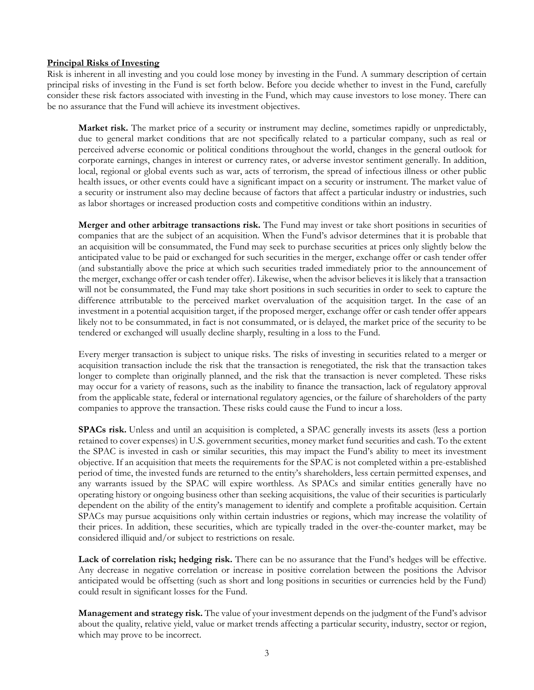#### **Principal Risks of Investing**

Risk is inherent in all investing and you could lose money by investing in the Fund. A summary description of certain principal risks of investing in the Fund is set forth below. Before you decide whether to invest in the Fund, carefully consider these risk factors associated with investing in the Fund, which may cause investors to lose money. There can be no assurance that the Fund will achieve its investment objectives.

**Market risk.** The market price of a security or instrument may decline, sometimes rapidly or unpredictably, due to general market conditions that are not specifically related to a particular company, such as real or perceived adverse economic or political conditions throughout the world, changes in the general outlook for corporate earnings, changes in interest or currency rates, or adverse investor sentiment generally. In addition, local, regional or global events such as war, acts of terrorism, the spread of infectious illness or other public health issues, or other events could have a significant impact on a security or instrument. The market value of a security or instrument also may decline because of factors that affect a particular industry or industries, such as labor shortages or increased production costs and competitive conditions within an industry.

**Merger and other arbitrage transactions risk.** The Fund may invest or take short positions in securities of companies that are the subject of an acquisition. When the Fund's advisor determines that it is probable that an acquisition will be consummated, the Fund may seek to purchase securities at prices only slightly below the anticipated value to be paid or exchanged for such securities in the merger, exchange offer or cash tender offer (and substantially above the price at which such securities traded immediately prior to the announcement of the merger, exchange offer or cash tender offer). Likewise, when the advisor believes it is likely that a transaction will not be consummated, the Fund may take short positions in such securities in order to seek to capture the difference attributable to the perceived market overvaluation of the acquisition target. In the case of an investment in a potential acquisition target, if the proposed merger, exchange offer or cash tender offer appears likely not to be consummated, in fact is not consummated, or is delayed, the market price of the security to be tendered or exchanged will usually decline sharply, resulting in a loss to the Fund.

Every merger transaction is subject to unique risks. The risks of investing in securities related to a merger or acquisition transaction include the risk that the transaction is renegotiated, the risk that the transaction takes longer to complete than originally planned, and the risk that the transaction is never completed. These risks may occur for a variety of reasons, such as the inability to finance the transaction, lack of regulatory approval from the applicable state, federal or international regulatory agencies, or the failure of shareholders of the party companies to approve the transaction. These risks could cause the Fund to incur a loss.

**SPACs risk.** Unless and until an acquisition is completed, a SPAC generally invests its assets (less a portion retained to cover expenses) in U.S. government securities, money market fund securities and cash. To the extent the SPAC is invested in cash or similar securities, this may impact the Fund's ability to meet its investment objective. If an acquisition that meets the requirements for the SPAC is not completed within a pre-established period of time, the invested funds are returned to the entity's shareholders, less certain permitted expenses, and any warrants issued by the SPAC will expire worthless. As SPACs and similar entities generally have no operating history or ongoing business other than seeking acquisitions, the value of their securities is particularly dependent on the ability of the entity's management to identify and complete a profitable acquisition. Certain SPACs may pursue acquisitions only within certain industries or regions, which may increase the volatility of their prices. In addition, these securities, which are typically traded in the over-the-counter market, may be considered illiquid and/or subject to restrictions on resale.

Lack of correlation risk; hedging risk. There can be no assurance that the Fund's hedges will be effective. Any decrease in negative correlation or increase in positive correlation between the positions the Advisor anticipated would be offsetting (such as short and long positions in securities or currencies held by the Fund) could result in significant losses for the Fund.

**Management and strategy risk.** The value of your investment depends on the judgment of the Fund's advisor about the quality, relative yield, value or market trends affecting a particular security, industry, sector or region, which may prove to be incorrect.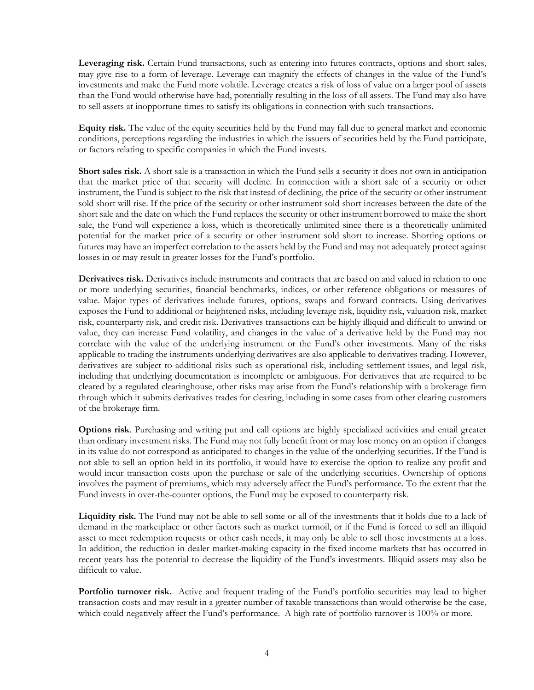**Leveraging risk.** Certain Fund transactions, such as entering into futures contracts, options and short sales, may give rise to a form of leverage. Leverage can magnify the effects of changes in the value of the Fund's investments and make the Fund more volatile. Leverage creates a risk of loss of value on a larger pool of assets than the Fund would otherwise have had, potentially resulting in the loss of all assets. The Fund may also have to sell assets at inopportune times to satisfy its obligations in connection with such transactions.

**Equity risk.** The value of the equity securities held by the Fund may fall due to general market and economic conditions, perceptions regarding the industries in which the issuers of securities held by the Fund participate, or factors relating to specific companies in which the Fund invests.

**Short sales risk.** A short sale is a transaction in which the Fund sells a security it does not own in anticipation that the market price of that security will decline. In connection with a short sale of a security or other instrument, the Fund is subject to the risk that instead of declining, the price of the security or other instrument sold short will rise. If the price of the security or other instrument sold short increases between the date of the short sale and the date on which the Fund replaces the security or other instrument borrowed to make the short sale, the Fund will experience a loss, which is theoretically unlimited since there is a theoretically unlimited potential for the market price of a security or other instrument sold short to increase. Shorting options or futures may have an imperfect correlation to the assets held by the Fund and may not adequately protect against losses in or may result in greater losses for the Fund's portfolio.

**Derivatives risk.** Derivatives include instruments and contracts that are based on and valued in relation to one or more underlying securities, financial benchmarks, indices, or other reference obligations or measures of value. Major types of derivatives include futures, options, swaps and forward contracts. Using derivatives exposes the Fund to additional or heightened risks, including leverage risk, liquidity risk, valuation risk, market risk, counterparty risk, and credit risk. Derivatives transactions can be highly illiquid and difficult to unwind or value, they can increase Fund volatility, and changes in the value of a derivative held by the Fund may not correlate with the value of the underlying instrument or the Fund's other investments. Many of the risks applicable to trading the instruments underlying derivatives are also applicable to derivatives trading. However, derivatives are subject to additional risks such as operational risk, including settlement issues, and legal risk, including that underlying documentation is incomplete or ambiguous. For derivatives that are required to be cleared by a regulated clearinghouse, other risks may arise from the Fund's relationship with a brokerage firm through which it submits derivatives trades for clearing, including in some cases from other clearing customers of the brokerage firm.

**Options risk**. Purchasing and writing put and call options are highly specialized activities and entail greater than ordinary investment risks. The Fund may not fully benefit from or may lose money on an option if changes in its value do not correspond as anticipated to changes in the value of the underlying securities. If the Fund is not able to sell an option held in its portfolio, it would have to exercise the option to realize any profit and would incur transaction costs upon the purchase or sale of the underlying securities. Ownership of options involves the payment of premiums, which may adversely affect the Fund's performance. To the extent that the Fund invests in over-the-counter options, the Fund may be exposed to counterparty risk.

**Liquidity risk.** The Fund may not be able to sell some or all of the investments that it holds due to a lack of demand in the marketplace or other factors such as market turmoil, or if the Fund is forced to sell an illiquid asset to meet redemption requests or other cash needs, it may only be able to sell those investments at a loss. In addition, the reduction in dealer market-making capacity in the fixed income markets that has occurred in recent years has the potential to decrease the liquidity of the Fund's investments. Illiquid assets may also be difficult to value.

**Portfolio turnover risk.** Active and frequent trading of the Fund's portfolio securities may lead to higher transaction costs and may result in a greater number of taxable transactions than would otherwise be the case, which could negatively affect the Fund's performance. A high rate of portfolio turnover is 100% or more.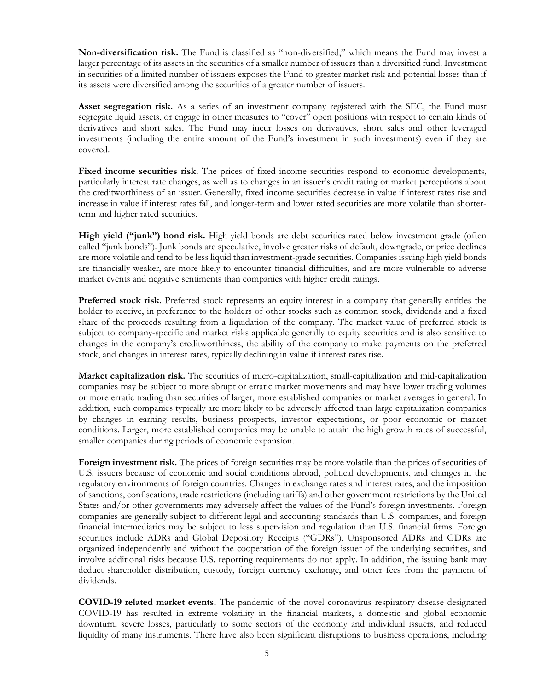**Non-diversification risk.** The Fund is classified as "non-diversified," which means the Fund may invest a larger percentage of its assets in the securities of a smaller number of issuers than a diversified fund. Investment in securities of a limited number of issuers exposes the Fund to greater market risk and potential losses than if its assets were diversified among the securities of a greater number of issuers.

**Asset segregation risk.** As a series of an investment company registered with the SEC, the Fund must segregate liquid assets, or engage in other measures to "cover" open positions with respect to certain kinds of derivatives and short sales. The Fund may incur losses on derivatives, short sales and other leveraged investments (including the entire amount of the Fund's investment in such investments) even if they are covered.

Fixed income securities risk. The prices of fixed income securities respond to economic developments, particularly interest rate changes, as well as to changes in an issuer's credit rating or market perceptions about the creditworthiness of an issuer. Generally, fixed income securities decrease in value if interest rates rise and increase in value if interest rates fall, and longer-term and lower rated securities are more volatile than shorterterm and higher rated securities.

**High yield ("junk") bond risk.** High yield bonds are debt securities rated below investment grade (often called "junk bonds"). Junk bonds are speculative, involve greater risks of default, downgrade, or price declines are more volatile and tend to be less liquid than investment-grade securities. Companies issuing high yield bonds are financially weaker, are more likely to encounter financial difficulties, and are more vulnerable to adverse market events and negative sentiments than companies with higher credit ratings.

**Preferred stock risk.** Preferred stock represents an equity interest in a company that generally entitles the holder to receive, in preference to the holders of other stocks such as common stock, dividends and a fixed share of the proceeds resulting from a liquidation of the company. The market value of preferred stock is subject to company-specific and market risks applicable generally to equity securities and is also sensitive to changes in the company's creditworthiness, the ability of the company to make payments on the preferred stock, and changes in interest rates, typically declining in value if interest rates rise.

**Market capitalization risk.** The securities of micro-capitalization, small-capitalization and mid-capitalization companies may be subject to more abrupt or erratic market movements and may have lower trading volumes or more erratic trading than securities of larger, more established companies or market averages in general. In addition, such companies typically are more likely to be adversely affected than large capitalization companies by changes in earning results, business prospects, investor expectations, or poor economic or market conditions. Larger, more established companies may be unable to attain the high growth rates of successful, smaller companies during periods of economic expansion.

**Foreign investment risk.** The prices of foreign securities may be more volatile than the prices of securities of U.S. issuers because of economic and social conditions abroad, political developments, and changes in the regulatory environments of foreign countries. Changes in exchange rates and interest rates, and the imposition of sanctions, confiscations, trade restrictions (including tariffs) and other government restrictions by the United States and/or other governments may adversely affect the values of the Fund's foreign investments. Foreign companies are generally subject to different legal and accounting standards than U.S. companies, and foreign financial intermediaries may be subject to less supervision and regulation than U.S. financial firms. Foreign securities include ADRs and Global Depository Receipts ("GDRs"). Unsponsored ADRs and GDRs are organized independently and without the cooperation of the foreign issuer of the underlying securities, and involve additional risks because U.S. reporting requirements do not apply. In addition, the issuing bank may deduct shareholder distribution, custody, foreign currency exchange, and other fees from the payment of dividends.

**COVID-19 related market events.** The pandemic of the novel coronavirus respiratory disease designated COVID-19 has resulted in extreme volatility in the financial markets, a domestic and global economic downturn, severe losses, particularly to some sectors of the economy and individual issuers, and reduced liquidity of many instruments. There have also been significant disruptions to business operations, including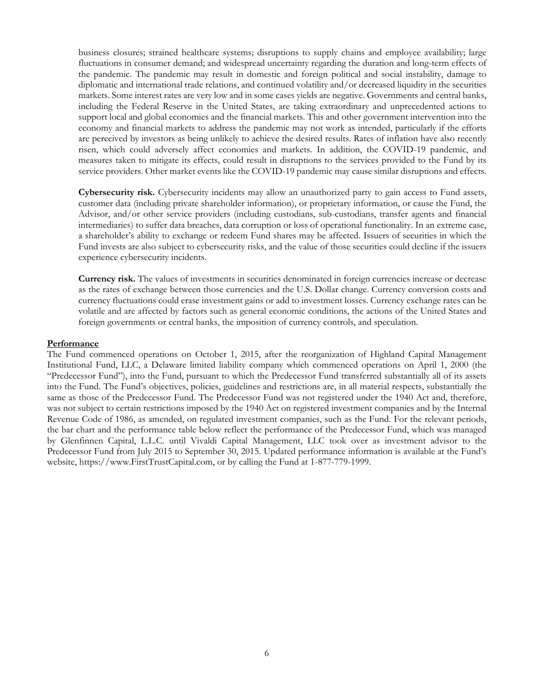business closures; strained healthcare systems; disruptions to supply chains and employee availability; large fluctuations in consumer demand; and widespread uncertainty regarding the duration and long-term effects of the pandemic. The pandemic may result in domestic and foreign political and social instability, damage to diplomatic and international trade relations, and continued volatility and/or decreased liquidity in the securities markets. Some interest rates are very low and in some cases yields are negative. Governments and central banks, including the Federal Reserve in the United States, are taking extraordinary and unprecedented actions to support local and global economies and the financial markets. This and other government intervention into the economy and financial markets to address the pandemic may not work as intended, particularly if the efforts are perceived by investors as being unlikely to achieve the desired results. Rates of inflation have also recently risen, which could adversely affect economies and markets. In addition, the COVID-19 pandemic, and measures taken to mitigate its effects, could result in disruptions to the services provided to the Fund by its service providers. Other market events like the COVID-19 pandemic may cause similar disruptions and effects.

**Cybersecurity risk.** Cybersecurity incidents may allow an unauthorized party to gain access to Fund assets, customer data (including private shareholder information), or proprietary information, or cause the Fund, the Advisor, and/or other service providers (including custodians, sub-custodians, transfer agents and financial intermediaries) to suffer data breaches, data corruption or loss of operational functionality. In an extreme case, a shareholder's ability to exchange or redeem Fund shares may be affected. Issuers of securities in which the Fund invests are also subject to cybersecurity risks, and the value of those securities could decline if the issuers experience cybersecurity incidents.

**Currency risk.** The values of investments in securities denominated in foreign currencies increase or decrease as the rates of exchange between those currencies and the U.S. Dollar change. Currency conversion costs and currency fluctuations could erase investment gains or add to investment losses. Currency exchange rates can be volatile and are affected by factors such as general economic conditions, the actions of the United States and foreign governments or central banks, the imposition of currency controls, and speculation.

#### **Performance**

The Fund commenced operations on October 1, 2015, after the reorganization of Highland Capital Management Institutional Fund, LLC, a Delaware limited liability company which commenced operations on April 1, 2000 (the "Predecessor Fund"), into the Fund, pursuant to which the Predecessor Fund transferred substantially all of its assets into the Fund. The Fund's objectives, policies, guidelines and restrictions are, in all material respects, substantially the same as those of the Predecessor Fund. The Predecessor Fund was not registered under the 1940 Act and, therefore, was not subject to certain restrictions imposed by the 1940 Act on registered investment companies and by the Internal Revenue Code of 1986, as amended, on regulated investment companies, such as the Fund. For the relevant periods, the bar chart and the performance table below reflect the performance of the Predecessor Fund, which was managed by Glenfinnen Capital, L.L.C. until Vivaldi Capital Management, LLC took over as investment advisor to the Predecessor Fund from July 2015 to September 30, 2015. Updated performance information is available at the Fund's website, https://www.FirstTrustCapital.com, or by calling the Fund at 1-877-779-1999.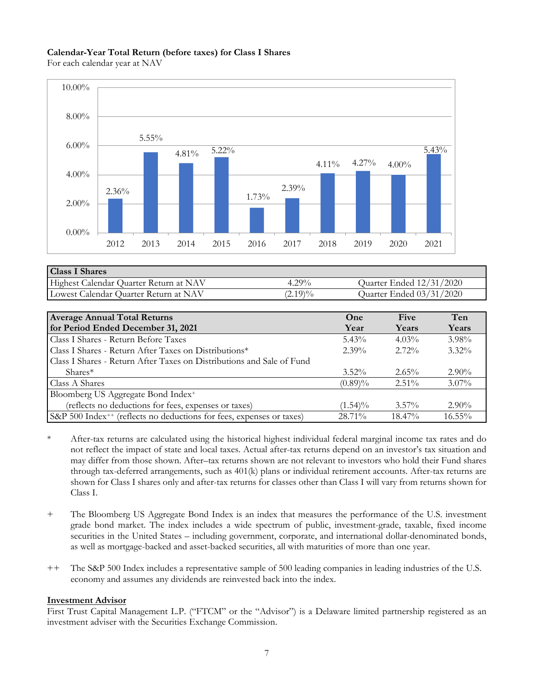#### **Calendar-Year Total Return (before taxes) for Class I Shares**

For each calendar year at NAV



| <b>Class I Shares</b>                  |            |                          |
|----------------------------------------|------------|--------------------------|
| Highest Calendar Quarter Return at NAV | $4.29\%$   | Quarter Ended 12/31/2020 |
| Lowest Calendar Quarter Return at NAV  | $(2.19)\%$ | Quarter Ended 03/31/2020 |

| <b>Average Annual Total Returns</b>                                              | One        | Five      | Ten       |
|----------------------------------------------------------------------------------|------------|-----------|-----------|
| for Period Ended December 31, 2021                                               | Year       | Years     | Years     |
| Class I Shares - Return Before Taxes                                             | $5.43\%$   | $4.03\%$  | $3.98\%$  |
| Class I Shares - Return After Taxes on Distributions*                            | $2.39\%$   | $2.72\%$  | $3.32\%$  |
| Class I Shares - Return After Taxes on Distributions and Sale of Fund            |            |           |           |
| $Shares*$                                                                        | $3.52\%$   | $2.65\%$  | $2.90\%$  |
| Class A Shares                                                                   | $(0.89)\%$ | $2.51\%$  | $3.07\%$  |
| Bloomberg US Aggregate Bond Index <sup>+</sup>                                   |            |           |           |
| (reflects no deductions for fees, expenses or taxes)                             | $(1.54)\%$ | $3.57\%$  | $2.90\%$  |
| S&P 500 Index <sup>++</sup> (reflects no deductions for fees, expenses or taxes) | $28.71\%$  | $18.47\%$ | $16.55\%$ |

- \* After-tax returns are calculated using the historical highest individual federal marginal income tax rates and do not reflect the impact of state and local taxes. Actual after-tax returns depend on an investor's tax situation and may differ from those shown. After–tax returns shown are not relevant to investors who hold their Fund shares through tax-deferred arrangements, such as 401(k) plans or individual retirement accounts. After-tax returns are shown for Class I shares only and after-tax returns for classes other than Class I will vary from returns shown for Class I.
- + The Bloomberg US Aggregate Bond Index is an index that measures the performance of the U.S. investment grade bond market. The index includes a wide spectrum of public, investment-grade, taxable, fixed income securities in the United States – including government, corporate, and international dollar-denominated bonds, as well as mortgage-backed and asset-backed securities, all with maturities of more than one year.
- ++ The S&P 500 Index includes a representative sample of 500 leading companies in leading industries of the U.S. economy and assumes any dividends are reinvested back into the index.

#### **Investment Advisor**

First Trust Capital Management L.P. ("FTCM" or the "Advisor") is a Delaware limited partnership registered as an investment adviser with the Securities Exchange Commission.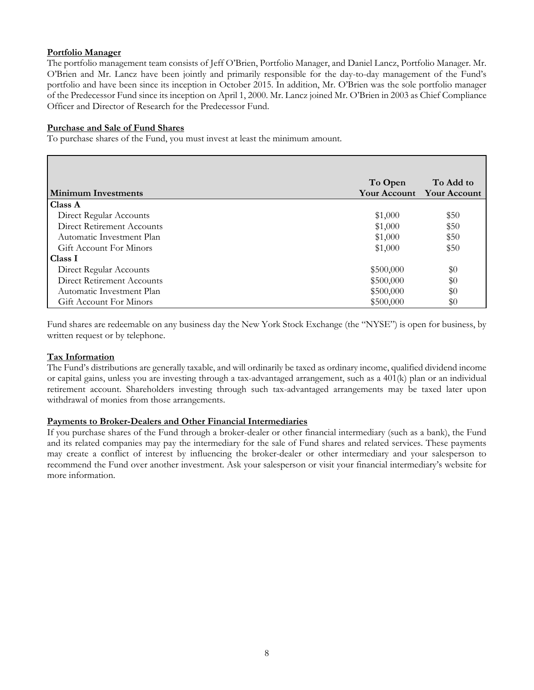## **Portfolio Manager**

The portfolio management team consists of Jeff O'Brien, Portfolio Manager, and Daniel Lancz, Portfolio Manager. Mr. O'Brien and Mr. Lancz have been jointly and primarily responsible for the day-to-day management of the Fund's portfolio and have been since its inception in October 2015. In addition, Mr. O'Brien was the sole portfolio manager of the Predecessor Fund since its inception on April 1, 2000. Mr. Lancz joined Mr. O'Brien in 2003 as Chief Compliance Officer and Director of Research for the Predecessor Fund.

## **Purchase and Sale of Fund Shares**

To purchase shares of the Fund, you must invest at least the minimum amount.

|                                   | To Open             | To Add to           |
|-----------------------------------|---------------------|---------------------|
| <b>Minimum Investments</b>        | <b>Your Account</b> | <b>Your Account</b> |
| <b>Class A</b>                    |                     |                     |
| Direct Regular Accounts           | \$1,000             | \$50                |
| <b>Direct Retirement Accounts</b> | \$1,000             | \$50                |
| Automatic Investment Plan         | \$1,000             | \$50                |
| Gift Account For Minors           | \$1,000             | \$50                |
| Class I                           |                     |                     |
| Direct Regular Accounts           | \$500,000           | \$0                 |
| Direct Retirement Accounts        | \$500,000           | \$0                 |
| Automatic Investment Plan         | \$500,000           | \$0                 |
| <b>Gift Account For Minors</b>    | \$500,000           | $\$0$               |

Fund shares are redeemable on any business day the New York Stock Exchange (the "NYSE") is open for business, by written request or by telephone.

## **Tax Information**

The Fund's distributions are generally taxable, and will ordinarily be taxed as ordinary income, qualified dividend income or capital gains, unless you are investing through a tax-advantaged arrangement, such as a 401(k) plan or an individual retirement account. Shareholders investing through such tax-advantaged arrangements may be taxed later upon withdrawal of monies from those arrangements.

#### **Payments to Broker-Dealers and Other Financial Intermediaries**

If you purchase shares of the Fund through a broker-dealer or other financial intermediary (such as a bank), the Fund and its related companies may pay the intermediary for the sale of Fund shares and related services. These payments may create a conflict of interest by influencing the broker-dealer or other intermediary and your salesperson to recommend the Fund over another investment. Ask your salesperson or visit your financial intermediary's website for more information.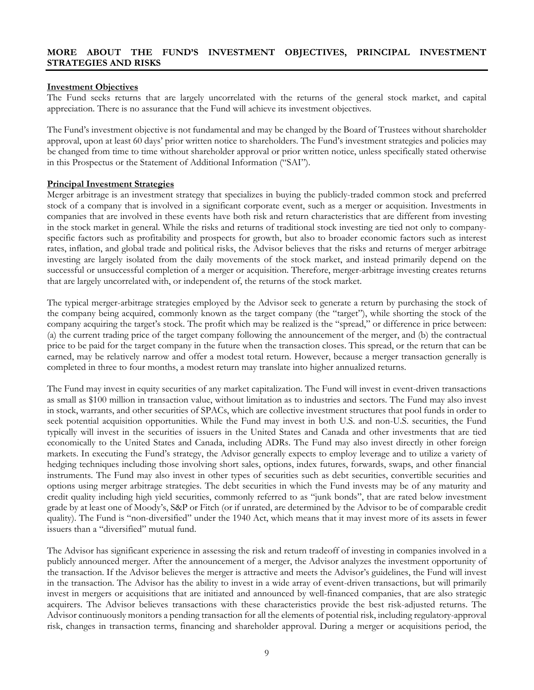#### **MORE ABOUT THE FUND'S INVESTMENT OBJECTIVES, PRINCIPAL INVESTMENT STRATEGIES AND RISKS**

#### **Investment Objectives**

The Fund seeks returns that are largely uncorrelated with the returns of the general stock market, and capital appreciation. There is no assurance that the Fund will achieve its investment objectives.

The Fund's investment objective is not fundamental and may be changed by the Board of Trustees without shareholder approval, upon at least 60 days' prior written notice to shareholders. The Fund's investment strategies and policies may be changed from time to time without shareholder approval or prior written notice, unless specifically stated otherwise in this Prospectus or the Statement of Additional Information ("SAI").

#### **Principal Investment Strategies**

Merger arbitrage is an investment strategy that specializes in buying the publicly-traded common stock and preferred stock of a company that is involved in a significant corporate event, such as a merger or acquisition. Investments in companies that are involved in these events have both risk and return characteristics that are different from investing in the stock market in general. While the risks and returns of traditional stock investing are tied not only to companyspecific factors such as profitability and prospects for growth, but also to broader economic factors such as interest rates, inflation, and global trade and political risks, the Advisor believes that the risks and returns of merger arbitrage investing are largely isolated from the daily movements of the stock market, and instead primarily depend on the successful or unsuccessful completion of a merger or acquisition. Therefore, merger-arbitrage investing creates returns that are largely uncorrelated with, or independent of, the returns of the stock market.

The typical merger-arbitrage strategies employed by the Advisor seek to generate a return by purchasing the stock of the company being acquired, commonly known as the target company (the "target"), while shorting the stock of the company acquiring the target's stock. The profit which may be realized is the "spread," or difference in price between: (a) the current trading price of the target company following the announcement of the merger, and (b) the contractual price to be paid for the target company in the future when the transaction closes. This spread, or the return that can be earned, may be relatively narrow and offer a modest total return. However, because a merger transaction generally is completed in three to four months, a modest return may translate into higher annualized returns.

The Fund may invest in equity securities of any market capitalization. The Fund will invest in event-driven transactions as small as \$100 million in transaction value, without limitation as to industries and sectors. The Fund may also invest in stock, warrants, and other securities of SPACs, which are collective investment structures that pool funds in order to seek potential acquisition opportunities. While the Fund may invest in both U.S. and non-U.S. securities, the Fund typically will invest in the securities of issuers in the United States and Canada and other investments that are tied economically to the United States and Canada, including ADRs. The Fund may also invest directly in other foreign markets. In executing the Fund's strategy, the Advisor generally expects to employ leverage and to utilize a variety of hedging techniques including those involving short sales, options, index futures, forwards, swaps, and other financial instruments. The Fund may also invest in other types of securities such as debt securities, convertible securities and options using merger arbitrage strategies. The debt securities in which the Fund invests may be of any maturity and credit quality including high yield securities, commonly referred to as "junk bonds", that are rated below investment grade by at least one of Moody's, S&P or Fitch (or if unrated, are determined by the Advisor to be of comparable credit quality). The Fund is "non-diversified" under the 1940 Act, which means that it may invest more of its assets in fewer issuers than a "diversified" mutual fund.

The Advisor has significant experience in assessing the risk and return tradeoff of investing in companies involved in a publicly announced merger. After the announcement of a merger, the Advisor analyzes the investment opportunity of the transaction. If the Advisor believes the merger is attractive and meets the Advisor's guidelines, the Fund will invest in the transaction. The Advisor has the ability to invest in a wide array of event-driven transactions, but will primarily invest in mergers or acquisitions that are initiated and announced by well-financed companies, that are also strategic acquirers. The Advisor believes transactions with these characteristics provide the best risk-adjusted returns. The Advisor continuously monitors a pending transaction for all the elements of potential risk, including regulatory-approval risk, changes in transaction terms, financing and shareholder approval. During a merger or acquisitions period, the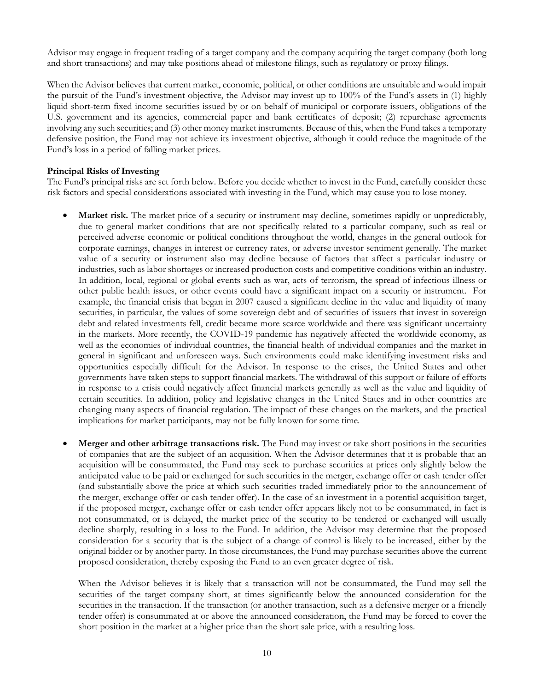Advisor may engage in frequent trading of a target company and the company acquiring the target company (both long and short transactions) and may take positions ahead of milestone filings, such as regulatory or proxy filings.

When the Advisor believes that current market, economic, political, or other conditions are unsuitable and would impair the pursuit of the Fund's investment objective, the Advisor may invest up to 100% of the Fund's assets in (1) highly liquid short-term fixed income securities issued by or on behalf of municipal or corporate issuers, obligations of the U.S. government and its agencies, commercial paper and bank certificates of deposit; (2) repurchase agreements involving any such securities; and (3) other money market instruments. Because of this, when the Fund takes a temporary defensive position, the Fund may not achieve its investment objective, although it could reduce the magnitude of the Fund's loss in a period of falling market prices.

#### **Principal Risks of Investing**

The Fund's principal risks are set forth below. Before you decide whether to invest in the Fund, carefully consider these risk factors and special considerations associated with investing in the Fund, which may cause you to lose money.

- **Market risk.** The market price of a security or instrument may decline, sometimes rapidly or unpredictably, due to general market conditions that are not specifically related to a particular company, such as real or perceived adverse economic or political conditions throughout the world, changes in the general outlook for corporate earnings, changes in interest or currency rates, or adverse investor sentiment generally. The market value of a security or instrument also may decline because of factors that affect a particular industry or industries, such as labor shortages or increased production costs and competitive conditions within an industry. In addition, local, regional or global events such as war, acts of terrorism, the spread of infectious illness or other public health issues, or other events could have a significant impact on a security or instrument. For example, the financial crisis that began in 2007 caused a significant decline in the value and liquidity of many securities, in particular, the values of some sovereign debt and of securities of issuers that invest in sovereign debt and related investments fell, credit became more scarce worldwide and there was significant uncertainty in the markets. More recently, the COVID-19 pandemic has negatively affected the worldwide economy, as well as the economies of individual countries, the financial health of individual companies and the market in general in significant and unforeseen ways. Such environments could make identifying investment risks and opportunities especially difficult for the Advisor. In response to the crises, the United States and other governments have taken steps to support financial markets. The withdrawal of this support or failure of efforts in response to a crisis could negatively affect financial markets generally as well as the value and liquidity of certain securities. In addition, policy and legislative changes in the United States and in other countries are changing many aspects of financial regulation. The impact of these changes on the markets, and the practical implications for market participants, may not be fully known for some time.
- **Merger and other arbitrage transactions risk.** The Fund may invest or take short positions in the securities of companies that are the subject of an acquisition. When the Advisor determines that it is probable that an acquisition will be consummated, the Fund may seek to purchase securities at prices only slightly below the anticipated value to be paid or exchanged for such securities in the merger, exchange offer or cash tender offer (and substantially above the price at which such securities traded immediately prior to the announcement of the merger, exchange offer or cash tender offer). In the case of an investment in a potential acquisition target, if the proposed merger, exchange offer or cash tender offer appears likely not to be consummated, in fact is not consummated, or is delayed, the market price of the security to be tendered or exchanged will usually decline sharply, resulting in a loss to the Fund. In addition, the Advisor may determine that the proposed consideration for a security that is the subject of a change of control is likely to be increased, either by the original bidder or by another party. In those circumstances, the Fund may purchase securities above the current proposed consideration, thereby exposing the Fund to an even greater degree of risk.

When the Advisor believes it is likely that a transaction will not be consummated, the Fund may sell the securities of the target company short, at times significantly below the announced consideration for the securities in the transaction. If the transaction (or another transaction, such as a defensive merger or a friendly tender offer) is consummated at or above the announced consideration, the Fund may be forced to cover the short position in the market at a higher price than the short sale price, with a resulting loss.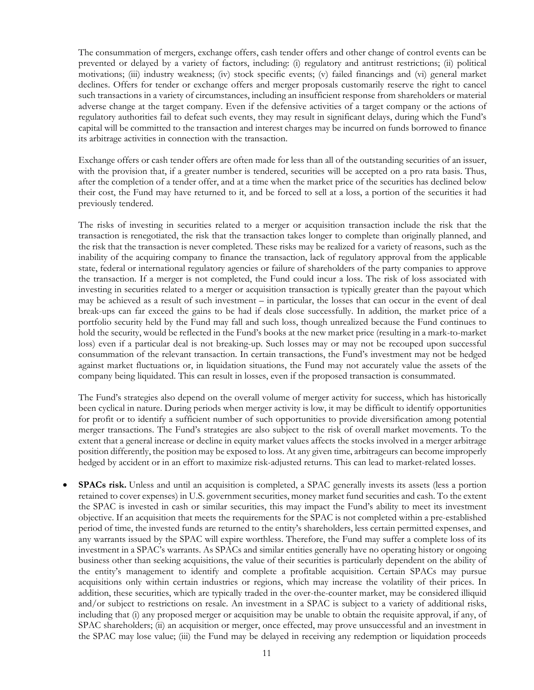The consummation of mergers, exchange offers, cash tender offers and other change of control events can be prevented or delayed by a variety of factors, including: (i) regulatory and antitrust restrictions; (ii) political motivations; (iii) industry weakness; (iv) stock specific events; (v) failed financings and (vi) general market declines. Offers for tender or exchange offers and merger proposals customarily reserve the right to cancel such transactions in a variety of circumstances, including an insufficient response from shareholders or material adverse change at the target company. Even if the defensive activities of a target company or the actions of regulatory authorities fail to defeat such events, they may result in significant delays, during which the Fund's capital will be committed to the transaction and interest charges may be incurred on funds borrowed to finance its arbitrage activities in connection with the transaction.

Exchange offers or cash tender offers are often made for less than all of the outstanding securities of an issuer, with the provision that, if a greater number is tendered, securities will be accepted on a pro rata basis. Thus, after the completion of a tender offer, and at a time when the market price of the securities has declined below their cost, the Fund may have returned to it, and be forced to sell at a loss, a portion of the securities it had previously tendered.

The risks of investing in securities related to a merger or acquisition transaction include the risk that the transaction is renegotiated, the risk that the transaction takes longer to complete than originally planned, and the risk that the transaction is never completed. These risks may be realized for a variety of reasons, such as the inability of the acquiring company to finance the transaction, lack of regulatory approval from the applicable state, federal or international regulatory agencies or failure of shareholders of the party companies to approve the transaction. If a merger is not completed, the Fund could incur a loss. The risk of loss associated with investing in securities related to a merger or acquisition transaction is typically greater than the payout which may be achieved as a result of such investment – in particular, the losses that can occur in the event of deal break-ups can far exceed the gains to be had if deals close successfully. In addition, the market price of a portfolio security held by the Fund may fall and such loss, though unrealized because the Fund continues to hold the security, would be reflected in the Fund's books at the new market price (resulting in a mark-to-market loss) even if a particular deal is not breaking-up. Such losses may or may not be recouped upon successful consummation of the relevant transaction. In certain transactions, the Fund's investment may not be hedged against market fluctuations or, in liquidation situations, the Fund may not accurately value the assets of the company being liquidated. This can result in losses, even if the proposed transaction is consummated.

The Fund's strategies also depend on the overall volume of merger activity for success, which has historically been cyclical in nature. During periods when merger activity is low, it may be difficult to identify opportunities for profit or to identify a sufficient number of such opportunities to provide diversification among potential merger transactions. The Fund's strategies are also subject to the risk of overall market movements. To the extent that a general increase or decline in equity market values affects the stocks involved in a merger arbitrage position differently, the position may be exposed to loss. At any given time, arbitrageurs can become improperly hedged by accident or in an effort to maximize risk-adjusted returns. This can lead to market-related losses.

**SPACs risk.** Unless and until an acquisition is completed, a SPAC generally invests its assets (less a portion retained to cover expenses) in U.S. government securities, money market fund securities and cash. To the extent the SPAC is invested in cash or similar securities, this may impact the Fund's ability to meet its investment objective. If an acquisition that meets the requirements for the SPAC is not completed within a pre-established period of time, the invested funds are returned to the entity's shareholders, less certain permitted expenses, and any warrants issued by the SPAC will expire worthless. Therefore, the Fund may suffer a complete loss of its investment in a SPAC's warrants. As SPACs and similar entities generally have no operating history or ongoing business other than seeking acquisitions, the value of their securities is particularly dependent on the ability of the entity's management to identify and complete a profitable acquisition. Certain SPACs may pursue acquisitions only within certain industries or regions, which may increase the volatility of their prices. In addition, these securities, which are typically traded in the over-the-counter market, may be considered illiquid and/or subject to restrictions on resale. An investment in a SPAC is subject to a variety of additional risks, including that (i) any proposed merger or acquisition may be unable to obtain the requisite approval, if any, of SPAC shareholders; (ii) an acquisition or merger, once effected, may prove unsuccessful and an investment in the SPAC may lose value; (iii) the Fund may be delayed in receiving any redemption or liquidation proceeds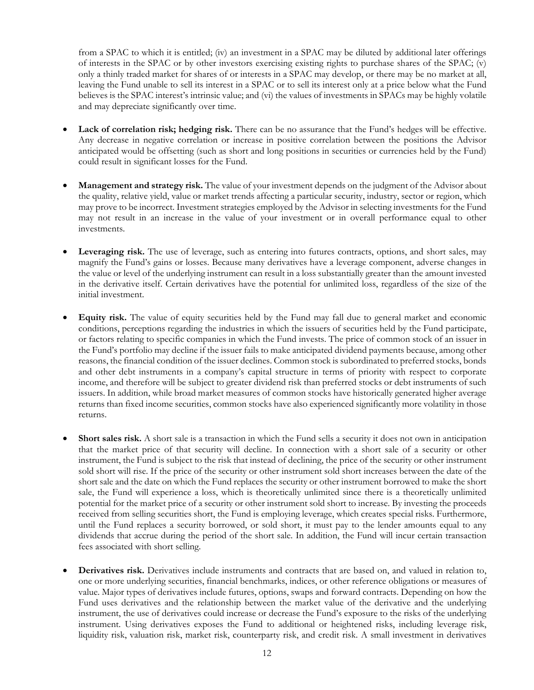from a SPAC to which it is entitled; (iv) an investment in a SPAC may be diluted by additional later offerings of interests in the SPAC or by other investors exercising existing rights to purchase shares of the SPAC; (v) only a thinly traded market for shares of or interests in a SPAC may develop, or there may be no market at all, leaving the Fund unable to sell its interest in a SPAC or to sell its interest only at a price below what the Fund believes is the SPAC interest's intrinsic value; and (vi) the values of investments in SPACs may be highly volatile and may depreciate significantly over time.

- Lack of correlation risk; hedging risk. There can be no assurance that the Fund's hedges will be effective. Any decrease in negative correlation or increase in positive correlation between the positions the Advisor anticipated would be offsetting (such as short and long positions in securities or currencies held by the Fund) could result in significant losses for the Fund.
- **Management and strategy risk.** The value of your investment depends on the judgment of the Advisor about the quality, relative yield, value or market trends affecting a particular security, industry, sector or region, which may prove to be incorrect. Investment strategies employed by the Advisor in selecting investments for the Fund may not result in an increase in the value of your investment or in overall performance equal to other investments.
- **Leveraging risk.** The use of leverage, such as entering into futures contracts, options, and short sales, may magnify the Fund's gains or losses. Because many derivatives have a leverage component, adverse changes in the value or level of the underlying instrument can result in a loss substantially greater than the amount invested in the derivative itself. Certain derivatives have the potential for unlimited loss, regardless of the size of the initial investment.
- **Equity risk.** The value of equity securities held by the Fund may fall due to general market and economic conditions, perceptions regarding the industries in which the issuers of securities held by the Fund participate, or factors relating to specific companies in which the Fund invests. The price of common stock of an issuer in the Fund's portfolio may decline if the issuer fails to make anticipated dividend payments because, among other reasons, the financial condition of the issuer declines. Common stock is subordinated to preferred stocks, bonds and other debt instruments in a company's capital structure in terms of priority with respect to corporate income, and therefore will be subject to greater dividend risk than preferred stocks or debt instruments of such issuers. In addition, while broad market measures of common stocks have historically generated higher average returns than fixed income securities, common stocks have also experienced significantly more volatility in those returns.
- Short sales risk. A short sale is a transaction in which the Fund sells a security it does not own in anticipation that the market price of that security will decline. In connection with a short sale of a security or other instrument, the Fund is subject to the risk that instead of declining, the price of the security or other instrument sold short will rise. If the price of the security or other instrument sold short increases between the date of the short sale and the date on which the Fund replaces the security or other instrument borrowed to make the short sale, the Fund will experience a loss, which is theoretically unlimited since there is a theoretically unlimited potential for the market price of a security or other instrument sold short to increase. By investing the proceeds received from selling securities short, the Fund is employing leverage, which creates special risks. Furthermore, until the Fund replaces a security borrowed, or sold short, it must pay to the lender amounts equal to any dividends that accrue during the period of the short sale. In addition, the Fund will incur certain transaction fees associated with short selling.
- **Derivatives risk.** Derivatives include instruments and contracts that are based on, and valued in relation to, one or more underlying securities, financial benchmarks, indices, or other reference obligations or measures of value. Major types of derivatives include futures, options, swaps and forward contracts. Depending on how the Fund uses derivatives and the relationship between the market value of the derivative and the underlying instrument, the use of derivatives could increase or decrease the Fund's exposure to the risks of the underlying instrument. Using derivatives exposes the Fund to additional or heightened risks, including leverage risk, liquidity risk, valuation risk, market risk, counterparty risk, and credit risk. A small investment in derivatives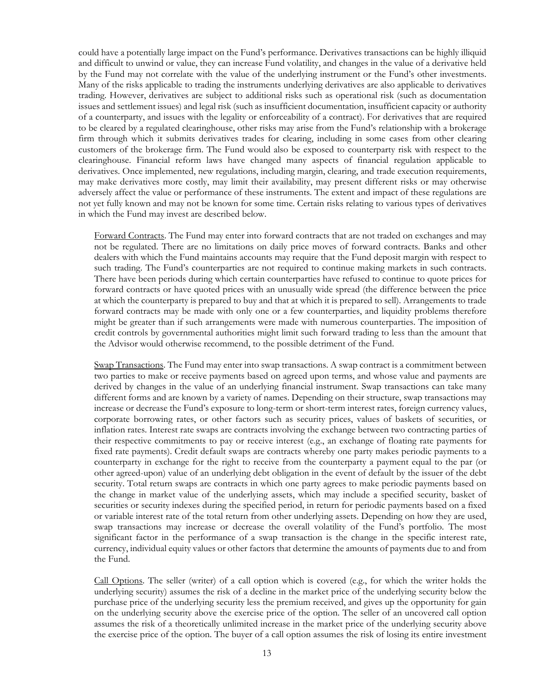could have a potentially large impact on the Fund's performance. Derivatives transactions can be highly illiquid and difficult to unwind or value, they can increase Fund volatility, and changes in the value of a derivative held by the Fund may not correlate with the value of the underlying instrument or the Fund's other investments. Many of the risks applicable to trading the instruments underlying derivatives are also applicable to derivatives trading. However, derivatives are subject to additional risks such as operational risk (such as documentation issues and settlement issues) and legal risk (such as insufficient documentation, insufficient capacity or authority of a counterparty, and issues with the legality or enforceability of a contract). For derivatives that are required to be cleared by a regulated clearinghouse, other risks may arise from the Fund's relationship with a brokerage firm through which it submits derivatives trades for clearing, including in some cases from other clearing customers of the brokerage firm. The Fund would also be exposed to counterparty risk with respect to the clearinghouse. Financial reform laws have changed many aspects of financial regulation applicable to derivatives. Once implemented, new regulations, including margin, clearing, and trade execution requirements, may make derivatives more costly, may limit their availability, may present different risks or may otherwise adversely affect the value or performance of these instruments. The extent and impact of these regulations are not yet fully known and may not be known for some time. Certain risks relating to various types of derivatives in which the Fund may invest are described below.

Forward Contracts. The Fund may enter into forward contracts that are not traded on exchanges and may not be regulated. There are no limitations on daily price moves of forward contracts. Banks and other dealers with which the Fund maintains accounts may require that the Fund deposit margin with respect to such trading. The Fund's counterparties are not required to continue making markets in such contracts. There have been periods during which certain counterparties have refused to continue to quote prices for forward contracts or have quoted prices with an unusually wide spread (the difference between the price at which the counterparty is prepared to buy and that at which it is prepared to sell). Arrangements to trade forward contracts may be made with only one or a few counterparties, and liquidity problems therefore might be greater than if such arrangements were made with numerous counterparties. The imposition of credit controls by governmental authorities might limit such forward trading to less than the amount that the Advisor would otherwise recommend, to the possible detriment of the Fund.

Swap Transactions. The Fund may enter into swap transactions. A swap contract is a commitment between two parties to make or receive payments based on agreed upon terms, and whose value and payments are derived by changes in the value of an underlying financial instrument. Swap transactions can take many different forms and are known by a variety of names. Depending on their structure, swap transactions may increase or decrease the Fund's exposure to long-term or short-term interest rates, foreign currency values, corporate borrowing rates, or other factors such as security prices, values of baskets of securities, or inflation rates. Interest rate swaps are contracts involving the exchange between two contracting parties of their respective commitments to pay or receive interest (e.g., an exchange of floating rate payments for fixed rate payments). Credit default swaps are contracts whereby one party makes periodic payments to a counterparty in exchange for the right to receive from the counterparty a payment equal to the par (or other agreed-upon) value of an underlying debt obligation in the event of default by the issuer of the debt security. Total return swaps are contracts in which one party agrees to make periodic payments based on the change in market value of the underlying assets, which may include a specified security, basket of securities or security indexes during the specified period, in return for periodic payments based on a fixed or variable interest rate of the total return from other underlying assets. Depending on how they are used, swap transactions may increase or decrease the overall volatility of the Fund's portfolio. The most significant factor in the performance of a swap transaction is the change in the specific interest rate, currency, individual equity values or other factors that determine the amounts of payments due to and from the Fund.

Call Options. The seller (writer) of a call option which is covered (e.g., for which the writer holds the underlying security) assumes the risk of a decline in the market price of the underlying security below the purchase price of the underlying security less the premium received, and gives up the opportunity for gain on the underlying security above the exercise price of the option. The seller of an uncovered call option assumes the risk of a theoretically unlimited increase in the market price of the underlying security above the exercise price of the option. The buyer of a call option assumes the risk of losing its entire investment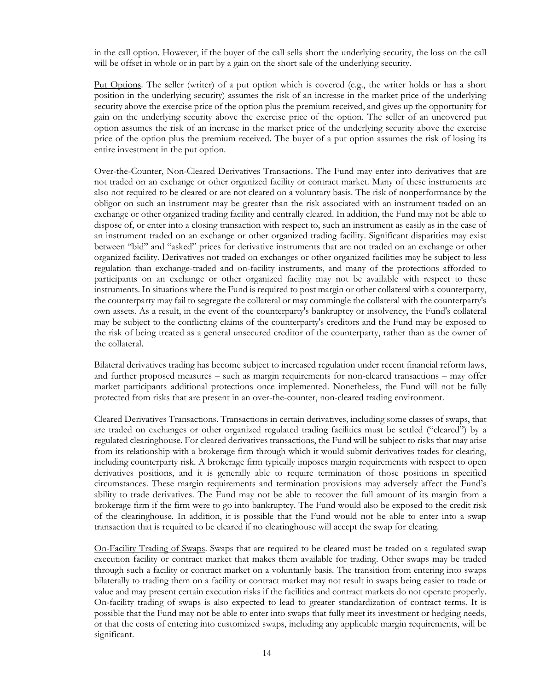in the call option. However, if the buyer of the call sells short the underlying security, the loss on the call will be offset in whole or in part by a gain on the short sale of the underlying security.

Put Options. The seller (writer) of a put option which is covered (e.g., the writer holds or has a short position in the underlying security) assumes the risk of an increase in the market price of the underlying security above the exercise price of the option plus the premium received, and gives up the opportunity for gain on the underlying security above the exercise price of the option. The seller of an uncovered put option assumes the risk of an increase in the market price of the underlying security above the exercise price of the option plus the premium received. The buyer of a put option assumes the risk of losing its entire investment in the put option.

Over-the-Counter, Non-Cleared Derivatives Transactions. The Fund may enter into derivatives that are not traded on an exchange or other organized facility or contract market. Many of these instruments are also not required to be cleared or are not cleared on a voluntary basis. The risk of nonperformance by the obligor on such an instrument may be greater than the risk associated with an instrument traded on an exchange or other organized trading facility and centrally cleared. In addition, the Fund may not be able to dispose of, or enter into a closing transaction with respect to, such an instrument as easily as in the case of an instrument traded on an exchange or other organized trading facility. Significant disparities may exist between "bid" and "asked" prices for derivative instruments that are not traded on an exchange or other organized facility. Derivatives not traded on exchanges or other organized facilities may be subject to less regulation than exchange-traded and on-facility instruments, and many of the protections afforded to participants on an exchange or other organized facility may not be available with respect to these instruments. In situations where the Fund is required to post margin or other collateral with a counterparty, the counterparty may fail to segregate the collateral or may commingle the collateral with the counterparty's own assets. As a result, in the event of the counterparty's bankruptcy or insolvency, the Fund's collateral may be subject to the conflicting claims of the counterparty's creditors and the Fund may be exposed to the risk of being treated as a general unsecured creditor of the counterparty, rather than as the owner of the collateral.

Bilateral derivatives trading has become subject to increased regulation under recent financial reform laws, and further proposed measures – such as margin requirements for non-cleared transactions – may offer market participants additional protections once implemented. Nonetheless, the Fund will not be fully protected from risks that are present in an over-the-counter, non-cleared trading environment.

Cleared Derivatives Transactions. Transactions in certain derivatives, including some classes of swaps, that are traded on exchanges or other organized regulated trading facilities must be settled ("cleared") by a regulated clearinghouse. For cleared derivatives transactions, the Fund will be subject to risks that may arise from its relationship with a brokerage firm through which it would submit derivatives trades for clearing, including counterparty risk. A brokerage firm typically imposes margin requirements with respect to open derivatives positions, and it is generally able to require termination of those positions in specified circumstances. These margin requirements and termination provisions may adversely affect the Fund's ability to trade derivatives. The Fund may not be able to recover the full amount of its margin from a brokerage firm if the firm were to go into bankruptcy. The Fund would also be exposed to the credit risk of the clearinghouse. In addition, it is possible that the Fund would not be able to enter into a swap transaction that is required to be cleared if no clearinghouse will accept the swap for clearing.

On-Facility Trading of Swaps. Swaps that are required to be cleared must be traded on a regulated swap execution facility or contract market that makes them available for trading. Other swaps may be traded through such a facility or contract market on a voluntarily basis. The transition from entering into swaps bilaterally to trading them on a facility or contract market may not result in swaps being easier to trade or value and may present certain execution risks if the facilities and contract markets do not operate properly. On-facility trading of swaps is also expected to lead to greater standardization of contract terms. It is possible that the Fund may not be able to enter into swaps that fully meet its investment or hedging needs, or that the costs of entering into customized swaps, including any applicable margin requirements, will be significant.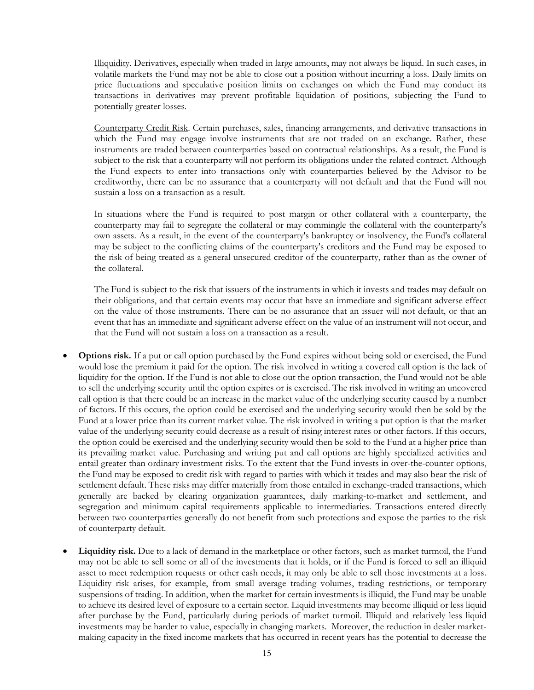Illiquidity. Derivatives, especially when traded in large amounts, may not always be liquid. In such cases, in volatile markets the Fund may not be able to close out a position without incurring a loss. Daily limits on price fluctuations and speculative position limits on exchanges on which the Fund may conduct its transactions in derivatives may prevent profitable liquidation of positions, subjecting the Fund to potentially greater losses.

Counterparty Credit Risk. Certain purchases, sales, financing arrangements, and derivative transactions in which the Fund may engage involve instruments that are not traded on an exchange. Rather, these instruments are traded between counterparties based on contractual relationships. As a result, the Fund is subject to the risk that a counterparty will not perform its obligations under the related contract. Although the Fund expects to enter into transactions only with counterparties believed by the Advisor to be creditworthy, there can be no assurance that a counterparty will not default and that the Fund will not sustain a loss on a transaction as a result.

In situations where the Fund is required to post margin or other collateral with a counterparty, the counterparty may fail to segregate the collateral or may commingle the collateral with the counterparty's own assets. As a result, in the event of the counterparty's bankruptcy or insolvency, the Fund's collateral may be subject to the conflicting claims of the counterparty's creditors and the Fund may be exposed to the risk of being treated as a general unsecured creditor of the counterparty, rather than as the owner of the collateral.

The Fund is subject to the risk that issuers of the instruments in which it invests and trades may default on their obligations, and that certain events may occur that have an immediate and significant adverse effect on the value of those instruments. There can be no assurance that an issuer will not default, or that an event that has an immediate and significant adverse effect on the value of an instrument will not occur, and that the Fund will not sustain a loss on a transaction as a result.

- **Options risk.** If a put or call option purchased by the Fund expires without being sold or exercised, the Fund would lose the premium it paid for the option. The risk involved in writing a covered call option is the lack of liquidity for the option. If the Fund is not able to close out the option transaction, the Fund would not be able to sell the underlying security until the option expires or is exercised. The risk involved in writing an uncovered call option is that there could be an increase in the market value of the underlying security caused by a number of factors. If this occurs, the option could be exercised and the underlying security would then be sold by the Fund at a lower price than its current market value. The risk involved in writing a put option is that the market value of the underlying security could decrease as a result of rising interest rates or other factors. If this occurs, the option could be exercised and the underlying security would then be sold to the Fund at a higher price than its prevailing market value. Purchasing and writing put and call options are highly specialized activities and entail greater than ordinary investment risks. To the extent that the Fund invests in over-the-counter options, the Fund may be exposed to credit risk with regard to parties with which it trades and may also bear the risk of settlement default. These risks may differ materially from those entailed in exchange-traded transactions, which generally are backed by clearing organization guarantees, daily marking-to-market and settlement, and segregation and minimum capital requirements applicable to intermediaries. Transactions entered directly between two counterparties generally do not benefit from such protections and expose the parties to the risk of counterparty default.
- **Liquidity risk.** Due to a lack of demand in the marketplace or other factors, such as market turmoil, the Fund may not be able to sell some or all of the investments that it holds, or if the Fund is forced to sell an illiquid asset to meet redemption requests or other cash needs, it may only be able to sell those investments at a loss. Liquidity risk arises, for example, from small average trading volumes, trading restrictions, or temporary suspensions of trading. In addition, when the market for certain investments is illiquid, the Fund may be unable to achieve its desired level of exposure to a certain sector. Liquid investments may become illiquid or less liquid after purchase by the Fund, particularly during periods of market turmoil. Illiquid and relatively less liquid investments may be harder to value, especially in changing markets. Moreover, the reduction in dealer marketmaking capacity in the fixed income markets that has occurred in recent years has the potential to decrease the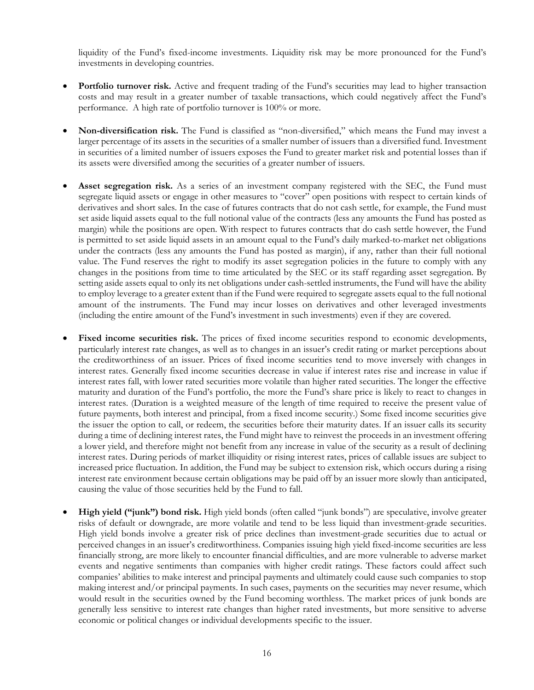liquidity of the Fund's fixed-income investments. Liquidity risk may be more pronounced for the Fund's investments in developing countries.

- **Portfolio turnover risk.** Active and frequent trading of the Fund's securities may lead to higher transaction costs and may result in a greater number of taxable transactions, which could negatively affect the Fund's performance. A high rate of portfolio turnover is 100% or more.
- **Non-diversification risk.** The Fund is classified as "non-diversified," which means the Fund may invest a larger percentage of its assets in the securities of a smaller number of issuers than a diversified fund. Investment in securities of a limited number of issuers exposes the Fund to greater market risk and potential losses than if its assets were diversified among the securities of a greater number of issuers.
- Asset segregation risk. As a series of an investment company registered with the SEC, the Fund must segregate liquid assets or engage in other measures to "cover" open positions with respect to certain kinds of derivatives and short sales. In the case of futures contracts that do not cash settle, for example, the Fund must set aside liquid assets equal to the full notional value of the contracts (less any amounts the Fund has posted as margin) while the positions are open. With respect to futures contracts that do cash settle however, the Fund is permitted to set aside liquid assets in an amount equal to the Fund's daily marked-to-market net obligations under the contracts (less any amounts the Fund has posted as margin), if any, rather than their full notional value. The Fund reserves the right to modify its asset segregation policies in the future to comply with any changes in the positions from time to time articulated by the SEC or its staff regarding asset segregation. By setting aside assets equal to only its net obligations under cash-settled instruments, the Fund will have the ability to employ leverage to a greater extent than if the Fund were required to segregate assets equal to the full notional amount of the instruments. The Fund may incur losses on derivatives and other leveraged investments (including the entire amount of the Fund's investment in such investments) even if they are covered.
- Fixed income securities risk. The prices of fixed income securities respond to economic developments, particularly interest rate changes, as well as to changes in an issuer's credit rating or market perceptions about the creditworthiness of an issuer. Prices of fixed income securities tend to move inversely with changes in interest rates. Generally fixed income securities decrease in value if interest rates rise and increase in value if interest rates fall, with lower rated securities more volatile than higher rated securities. The longer the effective maturity and duration of the Fund's portfolio, the more the Fund's share price is likely to react to changes in interest rates. (Duration is a weighted measure of the length of time required to receive the present value of future payments, both interest and principal, from a fixed income security.) Some fixed income securities give the issuer the option to call, or redeem, the securities before their maturity dates. If an issuer calls its security during a time of declining interest rates, the Fund might have to reinvest the proceeds in an investment offering a lower yield, and therefore might not benefit from any increase in value of the security as a result of declining interest rates. During periods of market illiquidity or rising interest rates, prices of callable issues are subject to increased price fluctuation. In addition, the Fund may be subject to extension risk, which occurs during a rising interest rate environment because certain obligations may be paid off by an issuer more slowly than anticipated, causing the value of those securities held by the Fund to fall.
- **High yield ("junk") bond risk.** High yield bonds (often called "junk bonds") are speculative, involve greater risks of default or downgrade, are more volatile and tend to be less liquid than investment-grade securities. High yield bonds involve a greater risk of price declines than investment-grade securities due to actual or perceived changes in an issuer's creditworthiness. Companies issuing high yield fixed-income securities are less financially strong, are more likely to encounter financial difficulties, and are more vulnerable to adverse market events and negative sentiments than companies with higher credit ratings. These factors could affect such companies' abilities to make interest and principal payments and ultimately could cause such companies to stop making interest and/or principal payments. In such cases, payments on the securities may never resume, which would result in the securities owned by the Fund becoming worthless. The market prices of junk bonds are generally less sensitive to interest rate changes than higher rated investments, but more sensitive to adverse economic or political changes or individual developments specific to the issuer.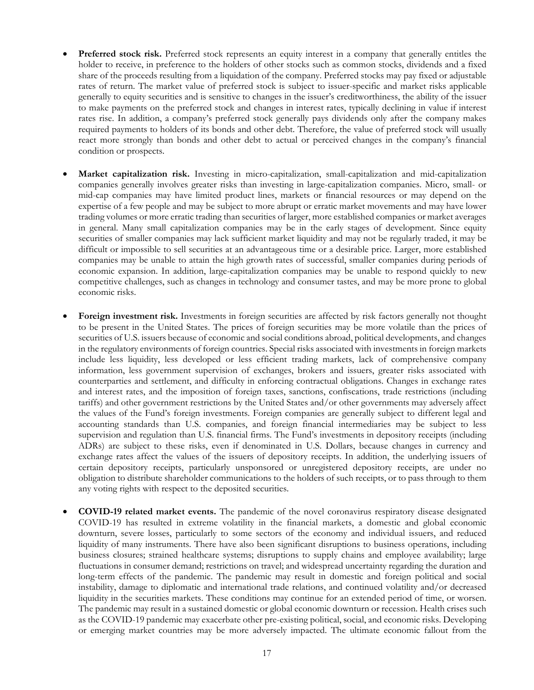- **Preferred stock risk.** Preferred stock represents an equity interest in a company that generally entitles the holder to receive, in preference to the holders of other stocks such as common stocks, dividends and a fixed share of the proceeds resulting from a liquidation of the company. Preferred stocks may pay fixed or adjustable rates of return. The market value of preferred stock is subject to issuer-specific and market risks applicable generally to equity securities and is sensitive to changes in the issuer's creditworthiness, the ability of the issuer to make payments on the preferred stock and changes in interest rates, typically declining in value if interest rates rise. In addition, a company's preferred stock generally pays dividends only after the company makes required payments to holders of its bonds and other debt. Therefore, the value of preferred stock will usually react more strongly than bonds and other debt to actual or perceived changes in the company's financial condition or prospects.
- **Market capitalization risk.** Investing in micro-capitalization, small-capitalization and mid-capitalization companies generally involves greater risks than investing in large-capitalization companies. Micro, small- or mid-cap companies may have limited product lines, markets or financial resources or may depend on the expertise of a few people and may be subject to more abrupt or erratic market movements and may have lower trading volumes or more erratic trading than securities of larger, more established companies or market averages in general. Many small capitalization companies may be in the early stages of development. Since equity securities of smaller companies may lack sufficient market liquidity and may not be regularly traded, it may be difficult or impossible to sell securities at an advantageous time or a desirable price. Larger, more established companies may be unable to attain the high growth rates of successful, smaller companies during periods of economic expansion. In addition, large-capitalization companies may be unable to respond quickly to new competitive challenges, such as changes in technology and consumer tastes, and may be more prone to global economic risks.
- **Foreign investment risk.** Investments in foreign securities are affected by risk factors generally not thought to be present in the United States. The prices of foreign securities may be more volatile than the prices of securities of U.S. issuers because of economic and social conditions abroad, political developments, and changes in the regulatory environments of foreign countries. Special risks associated with investments in foreign markets include less liquidity, less developed or less efficient trading markets, lack of comprehensive company information, less government supervision of exchanges, brokers and issuers, greater risks associated with counterparties and settlement, and difficulty in enforcing contractual obligations. Changes in exchange rates and interest rates, and the imposition of foreign taxes, sanctions, confiscations, trade restrictions (including tariffs) and other government restrictions by the United States and/or other governments may adversely affect the values of the Fund's foreign investments. Foreign companies are generally subject to different legal and accounting standards than U.S. companies, and foreign financial intermediaries may be subject to less supervision and regulation than U.S. financial firms. The Fund's investments in depository receipts (including ADRs) are subject to these risks, even if denominated in U.S. Dollars, because changes in currency and exchange rates affect the values of the issuers of depository receipts. In addition, the underlying issuers of certain depository receipts, particularly unsponsored or unregistered depository receipts, are under no obligation to distribute shareholder communications to the holders of such receipts, or to pass through to them any voting rights with respect to the deposited securities.
- **COVID-19 related market events.** The pandemic of the novel coronavirus respiratory disease designated COVID-19 has resulted in extreme volatility in the financial markets, a domestic and global economic downturn, severe losses, particularly to some sectors of the economy and individual issuers, and reduced liquidity of many instruments. There have also been significant disruptions to business operations, including business closures; strained healthcare systems; disruptions to supply chains and employee availability; large fluctuations in consumer demand; restrictions on travel; and widespread uncertainty regarding the duration and long-term effects of the pandemic. The pandemic may result in domestic and foreign political and social instability, damage to diplomatic and international trade relations, and continued volatility and/or decreased liquidity in the securities markets. These conditions may continue for an extended period of time, or worsen. The pandemic may result in a sustained domestic or global economic downturn or recession. Health crises such as the COVID-19 pandemic may exacerbate other pre-existing political, social, and economic risks. Developing or emerging market countries may be more adversely impacted. The ultimate economic fallout from the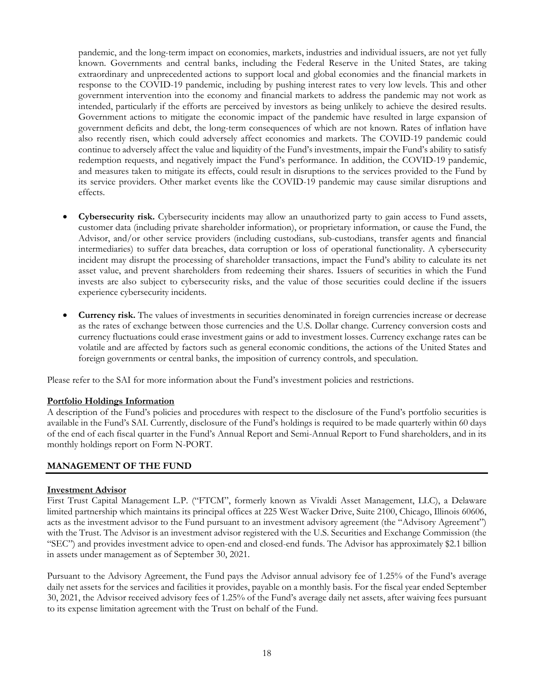pandemic, and the long-term impact on economies, markets, industries and individual issuers, are not yet fully known. Governments and central banks, including the Federal Reserve in the United States, are taking extraordinary and unprecedented actions to support local and global economies and the financial markets in response to the COVID-19 pandemic, including by pushing interest rates to very low levels. This and other government intervention into the economy and financial markets to address the pandemic may not work as intended, particularly if the efforts are perceived by investors as being unlikely to achieve the desired results. Government actions to mitigate the economic impact of the pandemic have resulted in large expansion of government deficits and debt, the long-term consequences of which are not known. Rates of inflation have also recently risen, which could adversely affect economies and markets. The COVID-19 pandemic could continue to adversely affect the value and liquidity of the Fund's investments, impair the Fund's ability to satisfy redemption requests, and negatively impact the Fund's performance. In addition, the COVID-19 pandemic, and measures taken to mitigate its effects, could result in disruptions to the services provided to the Fund by its service providers. Other market events like the COVID-19 pandemic may cause similar disruptions and effects.

- **Cybersecurity risk.** Cybersecurity incidents may allow an unauthorized party to gain access to Fund assets, customer data (including private shareholder information), or proprietary information, or cause the Fund, the Advisor, and/or other service providers (including custodians, sub-custodians, transfer agents and financial intermediaries) to suffer data breaches, data corruption or loss of operational functionality. A cybersecurity incident may disrupt the processing of shareholder transactions, impact the Fund's ability to calculate its net asset value, and prevent shareholders from redeeming their shares. Issuers of securities in which the Fund invests are also subject to cybersecurity risks, and the value of those securities could decline if the issuers experience cybersecurity incidents.
- **Currency risk.** The values of investments in securities denominated in foreign currencies increase or decrease as the rates of exchange between those currencies and the U.S. Dollar change. Currency conversion costs and currency fluctuations could erase investment gains or add to investment losses. Currency exchange rates can be volatile and are affected by factors such as general economic conditions, the actions of the United States and foreign governments or central banks, the imposition of currency controls, and speculation.

Please refer to the SAI for more information about the Fund's investment policies and restrictions.

#### **Portfolio Holdings Information**

A description of the Fund's policies and procedures with respect to the disclosure of the Fund's portfolio securities is available in the Fund's SAI. Currently, disclosure of the Fund's holdings is required to be made quarterly within 60 days of the end of each fiscal quarter in the Fund's Annual Report and Semi-Annual Report to Fund shareholders, and in its monthly holdings report on Form N-PORT.

## **MANAGEMENT OF THE FUND**

#### **Investment Advisor**

First Trust Capital Management L.P. ("FTCM", formerly known as Vivaldi Asset Management, LLC), a Delaware limited partnership which maintains its principal offices at 225 West Wacker Drive, Suite 2100, Chicago, Illinois 60606, acts as the investment advisor to the Fund pursuant to an investment advisory agreement (the "Advisory Agreement") with the Trust. The Advisor is an investment advisor registered with the U.S. Securities and Exchange Commission (the "SEC") and provides investment advice to open-end and closed-end funds. The Advisor has approximately \$2.1 billion in assets under management as of September 30, 2021.

Pursuant to the Advisory Agreement, the Fund pays the Advisor annual advisory fee of 1.25% of the Fund's average daily net assets for the services and facilities it provides, payable on a monthly basis. For the fiscal year ended September 30, 2021, the Advisor received advisory fees of 1.25% of the Fund's average daily net assets, after waiving fees pursuant to its expense limitation agreement with the Trust on behalf of the Fund.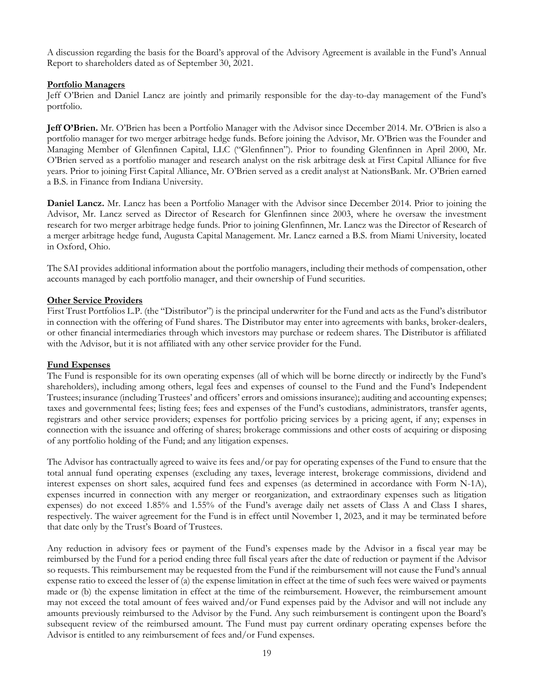A discussion regarding the basis for the Board's approval of the Advisory Agreement is available in the Fund's Annual Report to shareholders dated as of September 30, 2021.

## **Portfolio Managers**

Jeff O'Brien and Daniel Lancz are jointly and primarily responsible for the day-to-day management of the Fund's portfolio.

**Jeff O'Brien.** Mr. O'Brien has been a Portfolio Manager with the Advisor since December 2014. Mr. O'Brien is also a portfolio manager for two merger arbitrage hedge funds. Before joining the Advisor, Mr. O'Brien was the Founder and Managing Member of Glenfinnen Capital, LLC ("Glenfinnen"). Prior to founding Glenfinnen in April 2000, Mr. O'Brien served as a portfolio manager and research analyst on the risk arbitrage desk at First Capital Alliance for five years. Prior to joining First Capital Alliance, Mr. O'Brien served as a credit analyst at NationsBank. Mr. O'Brien earned a B.S. in Finance from Indiana University.

**Daniel Lancz.** Mr. Lancz has been a Portfolio Manager with the Advisor since December 2014. Prior to joining the Advisor, Mr. Lancz served as Director of Research for Glenfinnen since 2003, where he oversaw the investment research for two merger arbitrage hedge funds. Prior to joining Glenfinnen, Mr. Lancz was the Director of Research of a merger arbitrage hedge fund, Augusta Capital Management. Mr. Lancz earned a B.S. from Miami University, located in Oxford, Ohio.

The SAI provides additional information about the portfolio managers, including their methods of compensation, other accounts managed by each portfolio manager, and their ownership of Fund securities.

#### **Other Service Providers**

First Trust Portfolios L.P. (the "Distributor") is the principal underwriter for the Fund and acts as the Fund's distributor in connection with the offering of Fund shares. The Distributor may enter into agreements with banks, broker-dealers, or other financial intermediaries through which investors may purchase or redeem shares. The Distributor is affiliated with the Advisor, but it is not affiliated with any other service provider for the Fund.

#### **Fund Expenses**

The Fund is responsible for its own operating expenses (all of which will be borne directly or indirectly by the Fund's shareholders), including among others, legal fees and expenses of counsel to the Fund and the Fund's Independent Trustees; insurance (including Trustees' and officers' errors and omissions insurance); auditing and accounting expenses; taxes and governmental fees; listing fees; fees and expenses of the Fund's custodians, administrators, transfer agents, registrars and other service providers; expenses for portfolio pricing services by a pricing agent, if any; expenses in connection with the issuance and offering of shares; brokerage commissions and other costs of acquiring or disposing of any portfolio holding of the Fund; and any litigation expenses.

The Advisor has contractually agreed to waive its fees and/or pay for operating expenses of the Fund to ensure that the total annual fund operating expenses (excluding any taxes, leverage interest, brokerage commissions, dividend and interest expenses on short sales, acquired fund fees and expenses (as determined in accordance with Form N-1A), expenses incurred in connection with any merger or reorganization, and extraordinary expenses such as litigation expenses) do not exceed 1.85% and 1.55% of the Fund's average daily net assets of Class A and Class I shares, respectively. The waiver agreement for the Fund is in effect until November 1, 2023, and it may be terminated before that date only by the Trust's Board of Trustees.

Any reduction in advisory fees or payment of the Fund's expenses made by the Advisor in a fiscal year may be reimbursed by the Fund for a period ending three full fiscal years after the date of reduction or payment if the Advisor so requests. This reimbursement may be requested from the Fund if the reimbursement will not cause the Fund's annual expense ratio to exceed the lesser of (a) the expense limitation in effect at the time of such fees were waived or payments made or (b) the expense limitation in effect at the time of the reimbursement. However, the reimbursement amount may not exceed the total amount of fees waived and/or Fund expenses paid by the Advisor and will not include any amounts previously reimbursed to the Advisor by the Fund. Any such reimbursement is contingent upon the Board's subsequent review of the reimbursed amount. The Fund must pay current ordinary operating expenses before the Advisor is entitled to any reimbursement of fees and/or Fund expenses.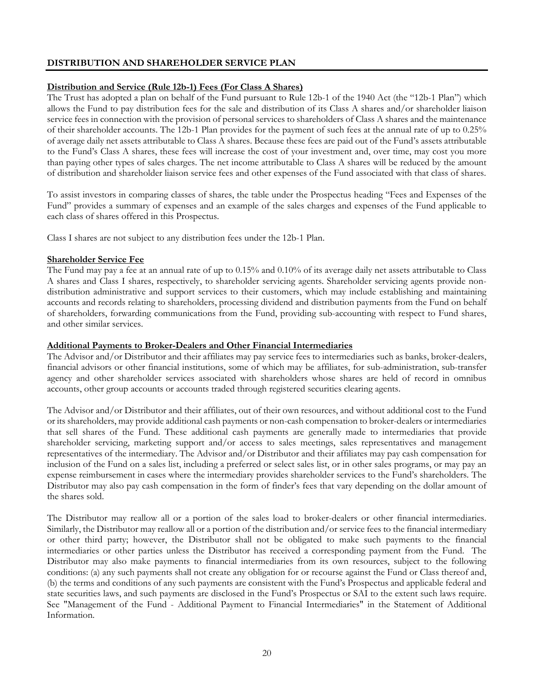# **DISTRIBUTION AND SHAREHOLDER SERVICE PLAN**

## **Distribution and Service (Rule 12b-1) Fees (For Class A Shares)**

The Trust has adopted a plan on behalf of the Fund pursuant to Rule 12b-1 of the 1940 Act (the "12b-1 Plan") which allows the Fund to pay distribution fees for the sale and distribution of its Class A shares and/or shareholder liaison service fees in connection with the provision of personal services to shareholders of Class A shares and the maintenance of their shareholder accounts. The 12b-1 Plan provides for the payment of such fees at the annual rate of up to 0.25% of average daily net assets attributable to Class A shares. Because these fees are paid out of the Fund's assets attributable to the Fund's Class A shares, these fees will increase the cost of your investment and, over time, may cost you more than paying other types of sales charges. The net income attributable to Class A shares will be reduced by the amount of distribution and shareholder liaison service fees and other expenses of the Fund associated with that class of shares.

To assist investors in comparing classes of shares, the table under the Prospectus heading "Fees and Expenses of the Fund" provides a summary of expenses and an example of the sales charges and expenses of the Fund applicable to each class of shares offered in this Prospectus.

Class I shares are not subject to any distribution fees under the 12b-1 Plan.

#### **Shareholder Service Fee**

The Fund may pay a fee at an annual rate of up to 0.15% and 0.10% of its average daily net assets attributable to Class A shares and Class I shares, respectively, to shareholder servicing agents. Shareholder servicing agents provide nondistribution administrative and support services to their customers, which may include establishing and maintaining accounts and records relating to shareholders, processing dividend and distribution payments from the Fund on behalf of shareholders, forwarding communications from the Fund, providing sub-accounting with respect to Fund shares, and other similar services.

## **Additional Payments to Broker-Dealers and Other Financial Intermediaries**

The Advisor and/or Distributor and their affiliates may pay service fees to intermediaries such as banks, broker-dealers, financial advisors or other financial institutions, some of which may be affiliates, for sub-administration, sub-transfer agency and other shareholder services associated with shareholders whose shares are held of record in omnibus accounts, other group accounts or accounts traded through registered securities clearing agents.

The Advisor and/or Distributor and their affiliates, out of their own resources, and without additional cost to the Fund or its shareholders, may provide additional cash payments or non-cash compensation to broker-dealers or intermediaries that sell shares of the Fund. These additional cash payments are generally made to intermediaries that provide shareholder servicing, marketing support and/or access to sales meetings, sales representatives and management representatives of the intermediary. The Advisor and/or Distributor and their affiliates may pay cash compensation for inclusion of the Fund on a sales list, including a preferred or select sales list, or in other sales programs, or may pay an expense reimbursement in cases where the intermediary provides shareholder services to the Fund's shareholders. The Distributor may also pay cash compensation in the form of finder's fees that vary depending on the dollar amount of the shares sold.

The Distributor may reallow all or a portion of the sales load to broker-dealers or other financial intermediaries. Similarly, the Distributor may reallow all or a portion of the distribution and/or service fees to the financial intermediary or other third party; however, the Distributor shall not be obligated to make such payments to the financial intermediaries or other parties unless the Distributor has received a corresponding payment from the Fund. The Distributor may also make payments to financial intermediaries from its own resources, subject to the following conditions: (a) any such payments shall not create any obligation for or recourse against the Fund or Class thereof and, (b) the terms and conditions of any such payments are consistent with the Fund's Prospectus and applicable federal and state securities laws, and such payments are disclosed in the Fund's Prospectus or SAI to the extent such laws require. See "Management of the Fund - Additional Payment to Financial Intermediaries" in the Statement of Additional Information.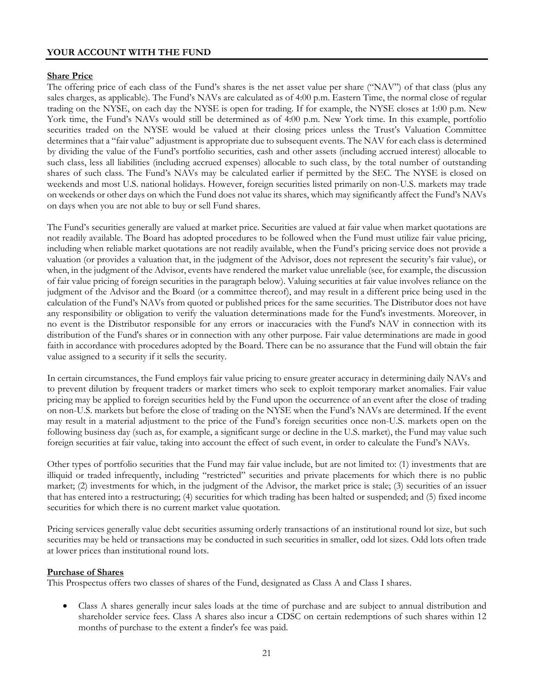## **YOUR ACCOUNT WITH THE FUND**

## **Share Price**

The offering price of each class of the Fund's shares is the net asset value per share ("NAV") of that class (plus any sales charges, as applicable). The Fund's NAVs are calculated as of 4:00 p.m. Eastern Time, the normal close of regular trading on the NYSE, on each day the NYSE is open for trading. If for example, the NYSE closes at 1:00 p.m. New York time, the Fund's NAVs would still be determined as of 4:00 p.m. New York time. In this example, portfolio securities traded on the NYSE would be valued at their closing prices unless the Trust's Valuation Committee determines that a "fair value" adjustment is appropriate due to subsequent events. The NAV for each class is determined by dividing the value of the Fund's portfolio securities, cash and other assets (including accrued interest) allocable to such class, less all liabilities (including accrued expenses) allocable to such class, by the total number of outstanding shares of such class. The Fund's NAVs may be calculated earlier if permitted by the SEC. The NYSE is closed on weekends and most U.S. national holidays. However, foreign securities listed primarily on non-U.S. markets may trade on weekends or other days on which the Fund does not value its shares, which may significantly affect the Fund's NAVs on days when you are not able to buy or sell Fund shares.

The Fund's securities generally are valued at market price. Securities are valued at fair value when market quotations are not readily available. The Board has adopted procedures to be followed when the Fund must utilize fair value pricing, including when reliable market quotations are not readily available, when the Fund's pricing service does not provide a valuation (or provides a valuation that, in the judgment of the Advisor, does not represent the security's fair value), or when, in the judgment of the Advisor, events have rendered the market value unreliable (see, for example, the discussion of fair value pricing of foreign securities in the paragraph below). Valuing securities at fair value involves reliance on the judgment of the Advisor and the Board (or a committee thereof), and may result in a different price being used in the calculation of the Fund's NAVs from quoted or published prices for the same securities. The Distributor does not have any responsibility or obligation to verify the valuation determinations made for the Fund's investments. Moreover, in no event is the Distributor responsible for any errors or inaccuracies with the Fund's NAV in connection with its distribution of the Fund's shares or in connection with any other purpose. Fair value determinations are made in good faith in accordance with procedures adopted by the Board. There can be no assurance that the Fund will obtain the fair value assigned to a security if it sells the security.

In certain circumstances, the Fund employs fair value pricing to ensure greater accuracy in determining daily NAVs and to prevent dilution by frequent traders or market timers who seek to exploit temporary market anomalies. Fair value pricing may be applied to foreign securities held by the Fund upon the occurrence of an event after the close of trading on non-U.S. markets but before the close of trading on the NYSE when the Fund's NAVs are determined. If the event may result in a material adjustment to the price of the Fund's foreign securities once non-U.S. markets open on the following business day (such as, for example, a significant surge or decline in the U.S. market), the Fund may value such foreign securities at fair value, taking into account the effect of such event, in order to calculate the Fund's NAVs.

Other types of portfolio securities that the Fund may fair value include, but are not limited to: (1) investments that are illiquid or traded infrequently, including "restricted" securities and private placements for which there is no public market; (2) investments for which, in the judgment of the Advisor, the market price is stale; (3) securities of an issuer that has entered into a restructuring; (4) securities for which trading has been halted or suspended; and (5) fixed income securities for which there is no current market value quotation.

Pricing services generally value debt securities assuming orderly transactions of an institutional round lot size, but such securities may be held or transactions may be conducted in such securities in smaller, odd lot sizes. Odd lots often trade at lower prices than institutional round lots.

## **Purchase of Shares**

This Prospectus offers two classes of shares of the Fund, designated as Class A and Class I shares.

• Class A shares generally incur sales loads at the time of purchase and are subject to annual distribution and shareholder service fees. Class A shares also incur a CDSC on certain redemptions of such shares within 12 months of purchase to the extent a finder's fee was paid.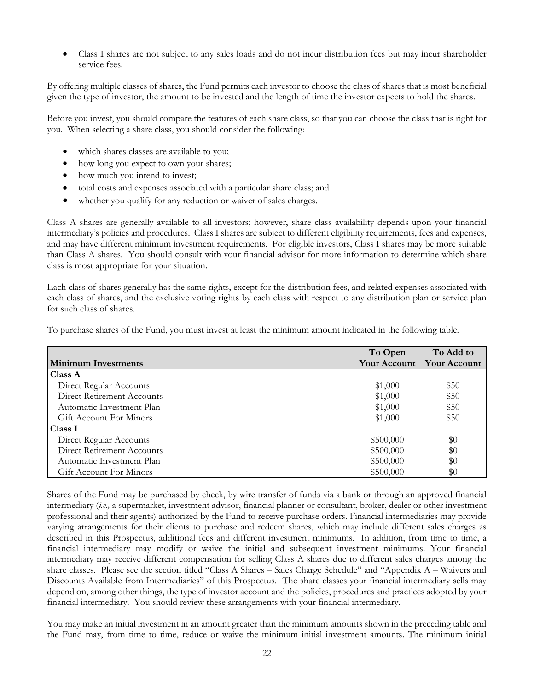• Class I shares are not subject to any sales loads and do not incur distribution fees but may incur shareholder service fees.

By offering multiple classes of shares, the Fund permits each investor to choose the class of shares that is most beneficial given the type of investor, the amount to be invested and the length of time the investor expects to hold the shares.

Before you invest, you should compare the features of each share class, so that you can choose the class that is right for you. When selecting a share class, you should consider the following:

- which shares classes are available to you;
- how long you expect to own your shares;
- how much you intend to invest;
- total costs and expenses associated with a particular share class; and
- whether you qualify for any reduction or waiver of sales charges.

Class A shares are generally available to all investors; however, share class availability depends upon your financial intermediary's policies and procedures. Class I shares are subject to different eligibility requirements, fees and expenses, and may have different minimum investment requirements. For eligible investors, Class I shares may be more suitable than Class A shares. You should consult with your financial advisor for more information to determine which share class is most appropriate for your situation.

Each class of shares generally has the same rights, except for the distribution fees, and related expenses associated with each class of shares, and the exclusive voting rights by each class with respect to any distribution plan or service plan for such class of shares.

|                            | To Open      | To Add to           |
|----------------------------|--------------|---------------------|
| <b>Minimum Investments</b> | Your Account | <b>Your Account</b> |
| <b>Class A</b>             |              |                     |
| Direct Regular Accounts    | \$1,000      | \$50                |
| Direct Retirement Accounts | \$1,000      | \$50                |
| Automatic Investment Plan  | \$1,000      | \$50                |
| Gift Account For Minors    | \$1,000      | \$50                |
| Class I                    |              |                     |
| Direct Regular Accounts    | \$500,000    | $\$0$               |
| Direct Retirement Accounts | \$500,000    | \$0                 |
| Automatic Investment Plan  | \$500,000    | $\$0$               |
| Gift Account For Minors    | \$500,000    | \$0                 |

To purchase shares of the Fund, you must invest at least the minimum amount indicated in the following table.

Shares of the Fund may be purchased by check, by wire transfer of funds via a bank or through an approved financial intermediary (*i.e.,* a supermarket, investment advisor, financial planner or consultant, broker, dealer or other investment professional and their agents) authorized by the Fund to receive purchase orders. Financial intermediaries may provide varying arrangements for their clients to purchase and redeem shares, which may include different sales charges as described in this Prospectus, additional fees and different investment minimums. In addition, from time to time, a financial intermediary may modify or waive the initial and subsequent investment minimums. Your financial intermediary may receive different compensation for selling Class A shares due to different sales charges among the share classes. Please see the section titled "Class A Shares – Sales Charge Schedule" and "Appendix A – Waivers and Discounts Available from Intermediaries" of this Prospectus. The share classes your financial intermediary sells may depend on, among other things, the type of investor account and the policies, procedures and practices adopted by your financial intermediary. You should review these arrangements with your financial intermediary.

You may make an initial investment in an amount greater than the minimum amounts shown in the preceding table and the Fund may, from time to time, reduce or waive the minimum initial investment amounts. The minimum initial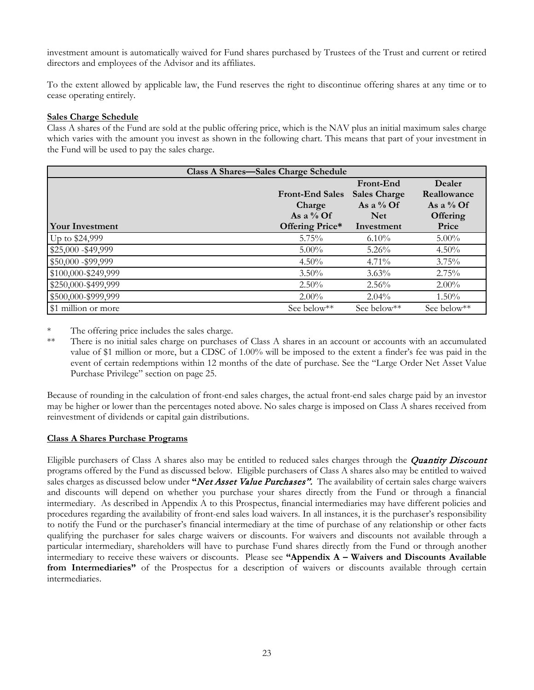investment amount is automatically waived for Fund shares purchased by Trustees of the Trust and current or retired directors and employees of the Advisor and its affiliates.

To the extent allowed by applicable law, the Fund reserves the right to discontinue offering shares at any time or to cease operating entirely.

#### **Sales Charge Schedule**

Class A shares of the Fund are sold at the public offering price, which is the NAV plus an initial maximum sales charge which varies with the amount you invest as shown in the following chart. This means that part of your investment in the Fund will be used to pay the sales charge.

| <b>Class A Shares-Sales Charge Schedule</b> |                        |                     |                 |  |  |  |
|---------------------------------------------|------------------------|---------------------|-----------------|--|--|--|
|                                             | Dealer<br>Front-End    |                     |                 |  |  |  |
|                                             | <b>Front-End Sales</b> | <b>Sales Charge</b> | Reallowance     |  |  |  |
|                                             | Charge                 | As a $\%$ Of        | As a $\%$ Of    |  |  |  |
|                                             | As a $\%$ Of           | <b>Net</b>          | <b>Offering</b> |  |  |  |
| Your Investment                             | Offering Price*        | Investment          | Price           |  |  |  |
| Up to \$24,999                              | 5.75%                  | $6.10\%$            | $5.00\%$        |  |  |  |
| \$25,000 - \$49,999                         | $5.00\%$               | $5.26\%$            | $4.50\%$        |  |  |  |
| \$50,000 - \$99,999                         | $4.50\%$               | $4.71\%$            | 3.75%           |  |  |  |
| \$100,000-\$249,999                         | $3.50\%$               | $3.63\%$            | 2.75%           |  |  |  |
| \$250,000-\$499,999                         | $2.50\%$               | $2.56\%$            | $2.00\%$        |  |  |  |
| \$500,000-\$999,999                         | $2.00\%$               | $2.04\%$            | $1.50\%$        |  |  |  |
| \$1 million or more                         | See below**            | See below**         | See below**     |  |  |  |

The offering price includes the sales charge.

\*\* There is no initial sales charge on purchases of Class A shares in an account or accounts with an accumulated value of \$1 million or more, but a CDSC of 1.00% will be imposed to the extent a finder's fee was paid in the event of certain redemptions within 12 months of the date of purchase. See the "Large Order Net Asset Value Purchase Privilege" section on page 25.

Because of rounding in the calculation of front-end sales charges, the actual front-end sales charge paid by an investor may be higher or lower than the percentages noted above. No sales charge is imposed on Class A shares received from reinvestment of dividends or capital gain distributions.

#### **Class A Shares Purchase Programs**

Eligible purchasers of Class A shares also may be entitled to reduced sales charges through the *Quantity Discount* programs offered by the Fund as discussed below. Eligible purchasers of Class A shares also may be entitled to waived sales charges as discussed below under "*Net Asset Value Purchases*". The availability of certain sales charge waivers and discounts will depend on whether you purchase your shares directly from the Fund or through a financial intermediary. As described in Appendix A to this Prospectus, financial intermediaries may have different policies and procedures regarding the availability of front-end sales load waivers. In all instances, it is the purchaser's responsibility to notify the Fund or the purchaser's financial intermediary at the time of purchase of any relationship or other facts qualifying the purchaser for sales charge waivers or discounts. For waivers and discounts not available through a particular intermediary, shareholders will have to purchase Fund shares directly from the Fund or through another intermediary to receive these waivers or discounts. Please see **"Appendix A – Waivers and Discounts Available from Intermediaries"** of the Prospectus for a description of waivers or discounts available through certain intermediaries.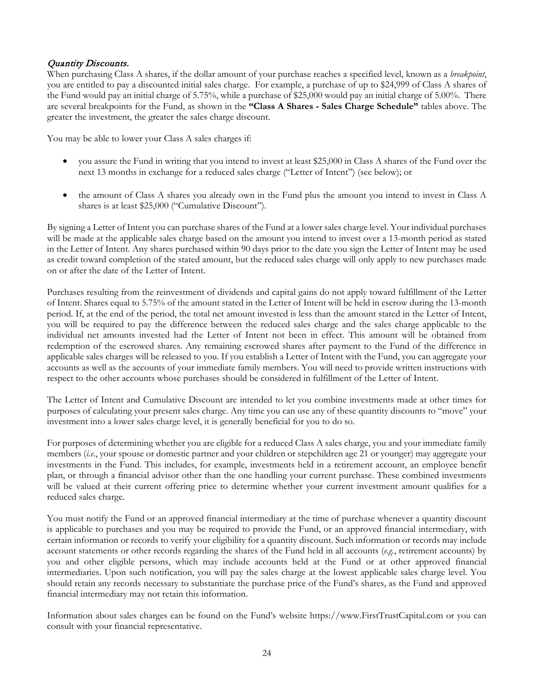# Quantity Discounts.

When purchasing Class A shares, if the dollar amount of your purchase reaches a specified level, known as a *breakpoint*, you are entitled to pay a discounted initial sales charge. For example, a purchase of up to \$24,999 of Class A shares of the Fund would pay an initial charge of 5.75%, while a purchase of \$25,000 would pay an initial charge of 5.00%. There are several breakpoints for the Fund, as shown in the **"Class A Shares - Sales Charge Schedule"** tables above. The greater the investment, the greater the sales charge discount.

You may be able to lower your Class A sales charges if:

- you assure the Fund in writing that you intend to invest at least \$25,000 in Class A shares of the Fund over the next 13 months in exchange for a reduced sales charge ("Letter of Intent") (see below); or
- the amount of Class A shares you already own in the Fund plus the amount you intend to invest in Class A shares is at least \$25,000 ("Cumulative Discount").

By signing a Letter of Intent you can purchase shares of the Fund at a lower sales charge level. Your individual purchases will be made at the applicable sales charge based on the amount you intend to invest over a 13-month period as stated in the Letter of Intent. Any shares purchased within 90 days prior to the date you sign the Letter of Intent may be used as credit toward completion of the stated amount, but the reduced sales charge will only apply to new purchases made on or after the date of the Letter of Intent.

Purchases resulting from the reinvestment of dividends and capital gains do not apply toward fulfillment of the Letter of Intent. Shares equal to 5.75% of the amount stated in the Letter of Intent will be held in escrow during the 13-month period. If, at the end of the period, the total net amount invested is less than the amount stated in the Letter of Intent, you will be required to pay the difference between the reduced sales charge and the sales charge applicable to the individual net amounts invested had the Letter of Intent not been in effect. This amount will be obtained from redemption of the escrowed shares. Any remaining escrowed shares after payment to the Fund of the difference in applicable sales charges will be released to you. If you establish a Letter of Intent with the Fund, you can aggregate your accounts as well as the accounts of your immediate family members. You will need to provide written instructions with respect to the other accounts whose purchases should be considered in fulfillment of the Letter of Intent.

The Letter of Intent and Cumulative Discount are intended to let you combine investments made at other times for purposes of calculating your present sales charge. Any time you can use any of these quantity discounts to "move" your investment into a lower sales charge level, it is generally beneficial for you to do so.

For purposes of determining whether you are eligible for a reduced Class A sales charge, you and your immediate family members (*i.e*., your spouse or domestic partner and your children or stepchildren age 21 or younger) may aggregate your investments in the Fund. This includes, for example, investments held in a retirement account, an employee benefit plan, or through a financial advisor other than the one handling your current purchase. These combined investments will be valued at their current offering price to determine whether your current investment amount qualifies for a reduced sales charge.

You must notify the Fund or an approved financial intermediary at the time of purchase whenever a quantity discount is applicable to purchases and you may be required to provide the Fund, or an approved financial intermediary, with certain information or records to verify your eligibility for a quantity discount. Such information or records may include account statements or other records regarding the shares of the Fund held in all accounts (*e.g.*, retirement accounts) by you and other eligible persons, which may include accounts held at the Fund or at other approved financial intermediaries. Upon such notification, you will pay the sales charge at the lowest applicable sales charge level. You should retain any records necessary to substantiate the purchase price of the Fund's shares, as the Fund and approved financial intermediary may not retain this information.

Information about sales charges can be found on the Fund's website https://www.FirstTrustCapital.com or you can consult with your financial representative.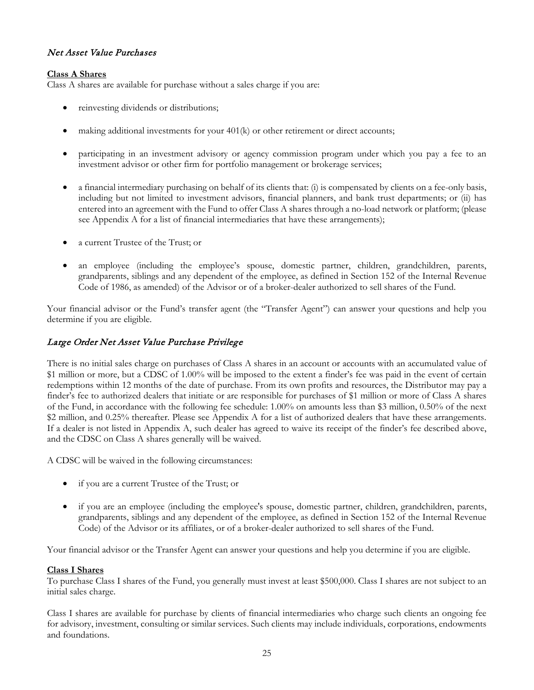# Net Asset Value Purchases

## **Class A Shares**

Class A shares are available for purchase without a sales charge if you are:

- reinvesting dividends or distributions;
- making additional investments for your  $401(k)$  or other retirement or direct accounts;
- participating in an investment advisory or agency commission program under which you pay a fee to an investment advisor or other firm for portfolio management or brokerage services;
- a financial intermediary purchasing on behalf of its clients that: (i) is compensated by clients on a fee-only basis, including but not limited to investment advisors, financial planners, and bank trust departments; or (ii) has entered into an agreement with the Fund to offer Class A shares through a no-load network or platform; (please see Appendix A for a list of financial intermediaries that have these arrangements);
- a current Trustee of the Trust; or
- an employee (including the employee's spouse, domestic partner, children, grandchildren, parents, grandparents, siblings and any dependent of the employee, as defined in Section 152 of the Internal Revenue Code of 1986, as amended) of the Advisor or of a broker-dealer authorized to sell shares of the Fund.

Your financial advisor or the Fund's transfer agent (the "Transfer Agent") can answer your questions and help you determine if you are eligible.

# Large Order Net Asset Value Purchase Privilege

There is no initial sales charge on purchases of Class A shares in an account or accounts with an accumulated value of \$1 million or more, but a CDSC of 1.00% will be imposed to the extent a finder's fee was paid in the event of certain redemptions within 12 months of the date of purchase. From its own profits and resources, the Distributor may pay a finder's fee to authorized dealers that initiate or are responsible for purchases of \$1 million or more of Class A shares of the Fund, in accordance with the following fee schedule: 1.00% on amounts less than \$3 million, 0.50% of the next \$2 million, and 0.25% thereafter. Please see Appendix A for a list of authorized dealers that have these arrangements. If a dealer is not listed in Appendix A, such dealer has agreed to waive its receipt of the finder's fee described above, and the CDSC on Class A shares generally will be waived.

A CDSC will be waived in the following circumstances:

- if you are a current Trustee of the Trust; or
- if you are an employee (including the employee's spouse, domestic partner, children, grandchildren, parents, grandparents, siblings and any dependent of the employee, as defined in Section 152 of the Internal Revenue Code) of the Advisor or its affiliates, or of a broker-dealer authorized to sell shares of the Fund.

Your financial advisor or the Transfer Agent can answer your questions and help you determine if you are eligible.

## **Class I Shares**

To purchase Class I shares of the Fund, you generally must invest at least \$500,000. Class I shares are not subject to an initial sales charge.

Class I shares are available for purchase by clients of financial intermediaries who charge such clients an ongoing fee for advisory, investment, consulting or similar services. Such clients may include individuals, corporations, endowments and foundations.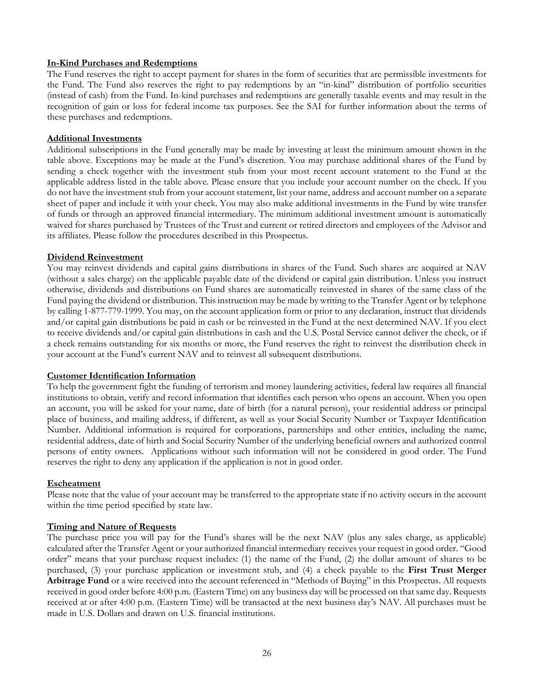#### **In-Kind Purchases and Redemptions**

The Fund reserves the right to accept payment for shares in the form of securities that are permissible investments for the Fund. The Fund also reserves the right to pay redemptions by an "in-kind" distribution of portfolio securities (instead of cash) from the Fund. In-kind purchases and redemptions are generally taxable events and may result in the recognition of gain or loss for federal income tax purposes. See the SAI for further information about the terms of these purchases and redemptions.

#### **Additional Investments**

Additional subscriptions in the Fund generally may be made by investing at least the minimum amount shown in the table above. Exceptions may be made at the Fund's discretion. You may purchase additional shares of the Fund by sending a check together with the investment stub from your most recent account statement to the Fund at the applicable address listed in the table above. Please ensure that you include your account number on the check. If you do not have the investment stub from your account statement, list your name, address and account number on a separate sheet of paper and include it with your check. You may also make additional investments in the Fund by wire transfer of funds or through an approved financial intermediary. The minimum additional investment amount is automatically waived for shares purchased by Trustees of the Trust and current or retired directors and employees of the Advisor and its affiliates. Please follow the procedures described in this Prospectus.

#### **Dividend Reinvestment**

You may reinvest dividends and capital gains distributions in shares of the Fund. Such shares are acquired at NAV (without a sales charge) on the applicable payable date of the dividend or capital gain distribution. Unless you instruct otherwise, dividends and distributions on Fund shares are automatically reinvested in shares of the same class of the Fund paying the dividend or distribution. This instruction may be made by writing to the Transfer Agent or by telephone by calling 1-877-779-1999. You may, on the account application form or prior to any declaration, instruct that dividends and/or capital gain distributions be paid in cash or be reinvested in the Fund at the next determined NAV. If you elect to receive dividends and/or capital gain distributions in cash and the U.S. Postal Service cannot deliver the check, or if a check remains outstanding for six months or more, the Fund reserves the right to reinvest the distribution check in your account at the Fund's current NAV and to reinvest all subsequent distributions.

#### **Customer Identification Information**

To help the government fight the funding of terrorism and money laundering activities, federal law requires all financial institutions to obtain, verify and record information that identifies each person who opens an account. When you open an account, you will be asked for your name, date of birth (for a natural person), your residential address or principal place of business, and mailing address, if different, as well as your Social Security Number or Taxpayer Identification Number. Additional information is required for corporations, partnerships and other entities, including the name, residential address, date of birth and Social Security Number of the underlying beneficial owners and authorized control persons of entity owners. Applications without such information will not be considered in good order. The Fund reserves the right to deny any application if the application is not in good order.

## **Escheatment**

Please note that the value of your account may be transferred to the appropriate state if no activity occurs in the account within the time period specified by state law.

## **Timing and Nature of Requests**

The purchase price you will pay for the Fund's shares will be the next NAV (plus any sales charge, as applicable) calculated after the Transfer Agent or your authorized financial intermediary receives your request in good order. "Good order" means that your purchase request includes: (1) the name of the Fund, (2) the dollar amount of shares to be purchased, (3) your purchase application or investment stub, and (4) a check payable to the **First Trust Merger Arbitrage Fund** or a wire received into the account referenced in "Methods of Buying" in this Prospectus. All requests received in good order before 4:00 p.m. (Eastern Time) on any business day will be processed on that same day. Requests received at or after 4:00 p.m. (Eastern Time) will be transacted at the next business day's NAV. All purchases must be made in U.S. Dollars and drawn on U.S. financial institutions.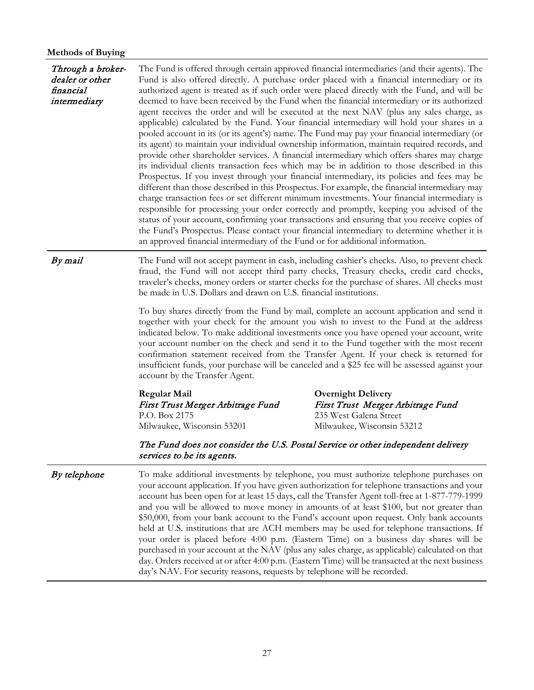| niculous of Duying<br>Through a broker-<br>dealer or other<br>financial<br>intermediary | The Fund is offered through certain approved financial intermediaries (and their agents). The<br>Fund is also offered directly. A purchase order placed with a financial intermediary or its<br>authorized agent is treated as if such order were placed directly with the Fund, and will be<br>deemed to have been received by the Fund when the financial intermediary or its authorized<br>agent receives the order and will be executed at the next NAV (plus any sales charge, as<br>applicable) calculated by the Fund. Your financial intermediary will hold your shares in a<br>pooled account in its (or its agent's) name. The Fund may pay your financial intermediary (or<br>its agent) to maintain your individual ownership information, maintain required records, and<br>provide other shareholder services. A financial intermediary which offers shares may charge<br>its individual clients transaction fees which may be in addition to those described in this<br>Prospectus. If you invest through your financial intermediary, its policies and fees may be<br>different than those described in this Prospectus. For example, the financial intermediary may<br>charge transaction fees or set different minimum investments. Your financial intermediary is |                                                                                                                                                                                                                                                                                          |  |  |  |  |  |
|-----------------------------------------------------------------------------------------|--------------------------------------------------------------------------------------------------------------------------------------------------------------------------------------------------------------------------------------------------------------------------------------------------------------------------------------------------------------------------------------------------------------------------------------------------------------------------------------------------------------------------------------------------------------------------------------------------------------------------------------------------------------------------------------------------------------------------------------------------------------------------------------------------------------------------------------------------------------------------------------------------------------------------------------------------------------------------------------------------------------------------------------------------------------------------------------------------------------------------------------------------------------------------------------------------------------------------------------------------------------------------------------|------------------------------------------------------------------------------------------------------------------------------------------------------------------------------------------------------------------------------------------------------------------------------------------|--|--|--|--|--|
|                                                                                         | an approved financial intermediary of the Fund or for additional information.                                                                                                                                                                                                                                                                                                                                                                                                                                                                                                                                                                                                                                                                                                                                                                                                                                                                                                                                                                                                                                                                                                                                                                                                        | responsible for processing your order correctly and promptly, keeping you advised of the<br>status of your account, confirming your transactions and ensuring that you receive copies of<br>the Fund's Prospectus. Please contact your financial intermediary to determine whether it is |  |  |  |  |  |
| By mail                                                                                 | The Fund will not accept payment in cash, including cashier's checks. Also, to prevent check<br>fraud, the Fund will not accept third party checks, Treasury checks, credit card checks,<br>traveler's checks, money orders or starter checks for the purchase of shares. All checks must<br>be made in U.S. Dollars and drawn on U.S. financial institutions.                                                                                                                                                                                                                                                                                                                                                                                                                                                                                                                                                                                                                                                                                                                                                                                                                                                                                                                       |                                                                                                                                                                                                                                                                                          |  |  |  |  |  |
|                                                                                         | To buy shares directly from the Fund by mail, complete an account application and send it<br>together with your check for the amount you wish to invest to the Fund at the address<br>indicated below. To make additional investments once you have opened your account, write<br>your account number on the check and send it to the Fund together with the most recent<br>confirmation statement received from the Transfer Agent. If your check is returned for<br>insufficient funds, your purchase will be canceled and a \$25 fee will be assessed against your<br>account by the Transfer Agent.                                                                                                                                                                                                                                                                                                                                                                                                                                                                                                                                                                                                                                                                              |                                                                                                                                                                                                                                                                                          |  |  |  |  |  |
|                                                                                         | <b>Regular Mail</b><br>First Trust Merger Arbitrage Fund<br>P.O. Box 2175<br>Milwaukee, Wisconsin 53201                                                                                                                                                                                                                                                                                                                                                                                                                                                                                                                                                                                                                                                                                                                                                                                                                                                                                                                                                                                                                                                                                                                                                                              | <b>Overnight Delivery</b><br>First Trust Merger Arbitrage Fund<br>235 West Galena Street<br>Milwaukee, Wisconsin 53212                                                                                                                                                                   |  |  |  |  |  |
|                                                                                         | The Fund does not consider the U.S. Postal Service or other independent delivery<br>services to be its agents.                                                                                                                                                                                                                                                                                                                                                                                                                                                                                                                                                                                                                                                                                                                                                                                                                                                                                                                                                                                                                                                                                                                                                                       |                                                                                                                                                                                                                                                                                          |  |  |  |  |  |
| By telephone                                                                            | To make additional investments by telephone, you must authorize telephone purchases on<br>your account application. If you have given authorization for telephone transactions and your<br>account has been open for at least 15 days, call the Transfer Agent toll-free at 1-877-779-1999<br>and you will be allowed to move money in amounts of at least \$100, but not greater than<br>\$50,000, from your bank account to the Fund's account upon request. Only bank accounts<br>held at U.S. institutions that are ACH members may be used for telephone transactions. If<br>your order is placed before 4:00 p.m. (Eastern Time) on a business day shares will be<br>purchased in your account at the NAV (plus any sales charge, as applicable) calculated on that<br>day. Orders received at or after 4:00 p.m. (Eastern Time) will be transacted at the next business<br>day's NAV. For security reasons, requests by telephone will be recorded.                                                                                                                                                                                                                                                                                                                           |                                                                                                                                                                                                                                                                                          |  |  |  |  |  |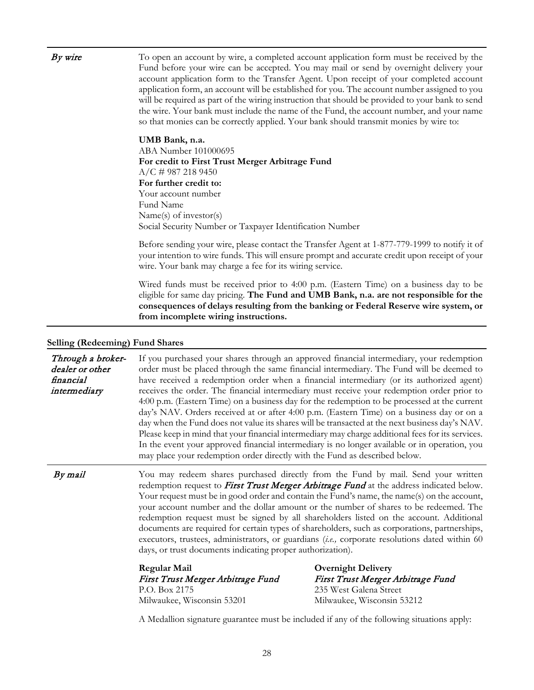| By wire                                                           | To open an account by wire, a completed account application form must be received by the<br>Fund before your wire can be accepted. You may mail or send by overnight delivery your<br>account application form to the Transfer Agent. Upon receipt of your completed account<br>application form, an account will be established for you. The account number assigned to you<br>will be required as part of the wiring instruction that should be provided to your bank to send<br>the wire. Your bank must include the name of the Fund, the account number, and your name<br>so that monies can be correctly applied. Your bank should transmit monies by wire to: |                                                                                                                                                                                                                                                                                                                                                                                                                                                                                                                                                                                                                                                                                                                                                                                                                                                                                     |  |  |  |  |
|-------------------------------------------------------------------|----------------------------------------------------------------------------------------------------------------------------------------------------------------------------------------------------------------------------------------------------------------------------------------------------------------------------------------------------------------------------------------------------------------------------------------------------------------------------------------------------------------------------------------------------------------------------------------------------------------------------------------------------------------------|-------------------------------------------------------------------------------------------------------------------------------------------------------------------------------------------------------------------------------------------------------------------------------------------------------------------------------------------------------------------------------------------------------------------------------------------------------------------------------------------------------------------------------------------------------------------------------------------------------------------------------------------------------------------------------------------------------------------------------------------------------------------------------------------------------------------------------------------------------------------------------------|--|--|--|--|
|                                                                   | UMB Bank, n.a.<br>ABA Number 101000695<br>For credit to First Trust Merger Arbitrage Fund<br>$A/C \neq 9872189450$<br>For further credit to:<br>Your account number<br>Fund Name<br>Name(s) of investor(s)<br>Social Security Number or Taxpayer Identification Number                                                                                                                                                                                                                                                                                                                                                                                               |                                                                                                                                                                                                                                                                                                                                                                                                                                                                                                                                                                                                                                                                                                                                                                                                                                                                                     |  |  |  |  |
|                                                                   | Before sending your wire, please contact the Transfer Agent at 1-877-779-1999 to notify it of<br>your intention to wire funds. This will ensure prompt and accurate credit upon receipt of your<br>wire. Your bank may charge a fee for its wiring service.                                                                                                                                                                                                                                                                                                                                                                                                          |                                                                                                                                                                                                                                                                                                                                                                                                                                                                                                                                                                                                                                                                                                                                                                                                                                                                                     |  |  |  |  |
|                                                                   | Wired funds must be received prior to 4:00 p.m. (Eastern Time) on a business day to be<br>eligible for same day pricing. The Fund and UMB Bank, n.a. are not responsible for the<br>consequences of delays resulting from the banking or Federal Reserve wire system, or<br>from incomplete wiring instructions.                                                                                                                                                                                                                                                                                                                                                     |                                                                                                                                                                                                                                                                                                                                                                                                                                                                                                                                                                                                                                                                                                                                                                                                                                                                                     |  |  |  |  |
| Selling (Redeeming) Fund Shares                                   |                                                                                                                                                                                                                                                                                                                                                                                                                                                                                                                                                                                                                                                                      |                                                                                                                                                                                                                                                                                                                                                                                                                                                                                                                                                                                                                                                                                                                                                                                                                                                                                     |  |  |  |  |
| Through a broker-<br>dealer or other<br>financial<br>intermediary | may place your redemption order directly with the Fund as described below.                                                                                                                                                                                                                                                                                                                                                                                                                                                                                                                                                                                           | If you purchased your shares through an approved financial intermediary, your redemption<br>order must be placed through the same financial intermediary. The Fund will be deemed to<br>have received a redemption order when a financial intermediary (or its authorized agent)<br>receives the order. The financial intermediary must receive your redemption order prior to<br>4:00 p.m. (Eastern Time) on a business day for the redemption to be processed at the current<br>day's NAV. Orders received at or after 4:00 p.m. (Eastern Time) on a business day or on a<br>day when the Fund does not value its shares will be transacted at the next business day's NAV.<br>Please keep in mind that your financial intermediary may charge additional fees for its services.<br>In the event your approved financial intermediary is no longer available or in operation, you |  |  |  |  |
| By mail                                                           | days, or trust documents indicating proper authorization).                                                                                                                                                                                                                                                                                                                                                                                                                                                                                                                                                                                                           | You may redeem shares purchased directly from the Fund by mail. Send your written<br>redemption request to First Trust Merger Arbitrage Fund at the address indicated below.<br>Your request must be in good order and contain the Fund's name, the name(s) on the account,<br>your account number and the dollar amount or the number of shares to be redeemed. The<br>redemption request must be signed by all shareholders listed on the account. Additional<br>documents are required for certain types of shareholders, such as corporations, partnerships,<br>executors, trustees, administrators, or guardians (i.e., corporate resolutions dated within 60                                                                                                                                                                                                                  |  |  |  |  |
|                                                                   | <b>Regular Mail</b><br>First Trust Merger Arbitrage Fund<br>P.O. Box 2175<br>Milwaukee, Wisconsin 53201                                                                                                                                                                                                                                                                                                                                                                                                                                                                                                                                                              | <b>Overnight Delivery</b><br>First Trust Merger Arbitrage Fund<br>235 West Galena Street<br>Milwaukee, Wisconsin 53212                                                                                                                                                                                                                                                                                                                                                                                                                                                                                                                                                                                                                                                                                                                                                              |  |  |  |  |
|                                                                   | A Medallion signature guarantee must be included if any of the following situations apply:                                                                                                                                                                                                                                                                                                                                                                                                                                                                                                                                                                           |                                                                                                                                                                                                                                                                                                                                                                                                                                                                                                                                                                                                                                                                                                                                                                                                                                                                                     |  |  |  |  |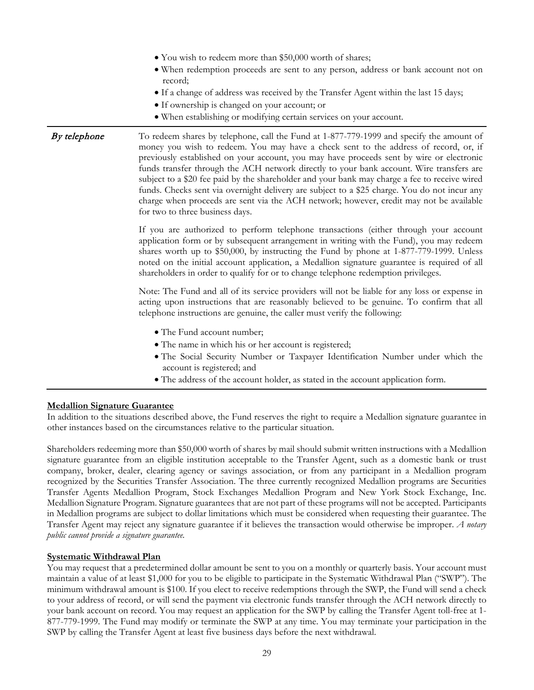- You wish to redeem more than \$50,000 worth of shares;
- When redemption proceeds are sent to any person, address or bank account not on record;
- If a change of address was received by the Transfer Agent within the last 15 days;
- If ownership is changed on your account; or
- When establishing or modifying certain services on your account.

**By telephone** To redeem shares by telephone, call the Fund at 1-877-779-1999 and specify the amount of money you wish to redeem. You may have a check sent to the address of record, or, if previously established on your account, you may have proceeds sent by wire or electronic funds transfer through the ACH network directly to your bank account. Wire transfers are subject to a \$20 fee paid by the shareholder and your bank may charge a fee to receive wired funds. Checks sent via overnight delivery are subject to a \$25 charge. You do not incur any charge when proceeds are sent via the ACH network; however, credit may not be available for two to three business days.

> If you are authorized to perform telephone transactions (either through your account application form or by subsequent arrangement in writing with the Fund), you may redeem shares worth up to \$50,000, by instructing the Fund by phone at 1-877-779-1999. Unless noted on the initial account application, a Medallion signature guarantee is required of all shareholders in order to qualify for or to change telephone redemption privileges.

> Note: The Fund and all of its service providers will not be liable for any loss or expense in acting upon instructions that are reasonably believed to be genuine. To confirm that all telephone instructions are genuine, the caller must verify the following:

- The Fund account number;
- The name in which his or her account is registered;
- The Social Security Number or Taxpayer Identification Number under which the account is registered; and
- The address of the account holder, as stated in the account application form.

#### **Medallion Signature Guarantee**

In addition to the situations described above, the Fund reserves the right to require a Medallion signature guarantee in other instances based on the circumstances relative to the particular situation.

Shareholders redeeming more than \$50,000 worth of shares by mail should submit written instructions with a Medallion signature guarantee from an eligible institution acceptable to the Transfer Agent, such as a domestic bank or trust company, broker, dealer, clearing agency or savings association, or from any participant in a Medallion program recognized by the Securities Transfer Association. The three currently recognized Medallion programs are Securities Transfer Agents Medallion Program, Stock Exchanges Medallion Program and New York Stock Exchange, Inc. Medallion Signature Program. Signature guarantees that are not part of these programs will not be accepted. Participants in Medallion programs are subject to dollar limitations which must be considered when requesting their guarantee. The Transfer Agent may reject any signature guarantee if it believes the transaction would otherwise be improper. *A notary public cannot provide a signature guarantee.*

#### **Systematic Withdrawal Plan**

You may request that a predetermined dollar amount be sent to you on a monthly or quarterly basis. Your account must maintain a value of at least \$1,000 for you to be eligible to participate in the Systematic Withdrawal Plan ("SWP"). The minimum withdrawal amount is \$100. If you elect to receive redemptions through the SWP, the Fund will send a check to your address of record, or will send the payment via electronic funds transfer through the ACH network directly to your bank account on record. You may request an application for the SWP by calling the Transfer Agent toll-free at 1- 877-779-1999. The Fund may modify or terminate the SWP at any time. You may terminate your participation in the SWP by calling the Transfer Agent at least five business days before the next withdrawal.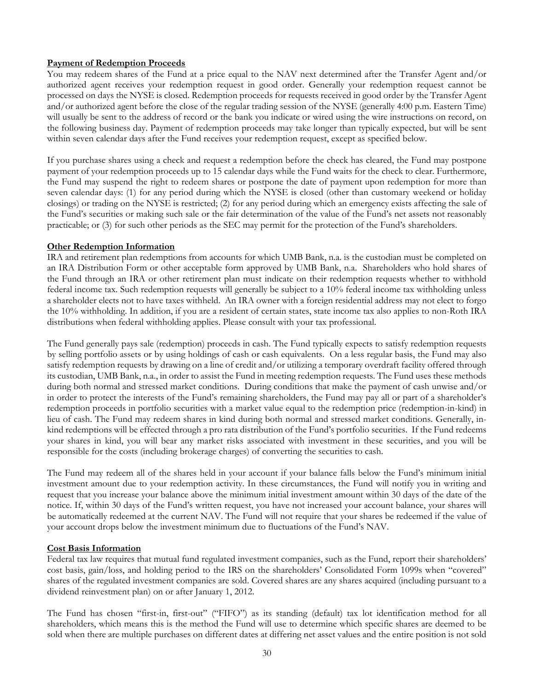## **Payment of Redemption Proceeds**

You may redeem shares of the Fund at a price equal to the NAV next determined after the Transfer Agent and/or authorized agent receives your redemption request in good order. Generally your redemption request cannot be processed on days the NYSE is closed. Redemption proceeds for requests received in good order by the Transfer Agent and/or authorized agent before the close of the regular trading session of the NYSE (generally 4:00 p.m. Eastern Time) will usually be sent to the address of record or the bank you indicate or wired using the wire instructions on record, on the following business day. Payment of redemption proceeds may take longer than typically expected, but will be sent within seven calendar days after the Fund receives your redemption request, except as specified below.

If you purchase shares using a check and request a redemption before the check has cleared, the Fund may postpone payment of your redemption proceeds up to 15 calendar days while the Fund waits for the check to clear. Furthermore, the Fund may suspend the right to redeem shares or postpone the date of payment upon redemption for more than seven calendar days: (1) for any period during which the NYSE is closed (other than customary weekend or holiday closings) or trading on the NYSE is restricted; (2) for any period during which an emergency exists affecting the sale of the Fund's securities or making such sale or the fair determination of the value of the Fund's net assets not reasonably practicable; or (3) for such other periods as the SEC may permit for the protection of the Fund's shareholders.

#### **Other Redemption Information**

IRA and retirement plan redemptions from accounts for which UMB Bank, n.a. is the custodian must be completed on an IRA Distribution Form or other acceptable form approved by UMB Bank, n.a. Shareholders who hold shares of the Fund through an IRA or other retirement plan must indicate on their redemption requests whether to withhold federal income tax. Such redemption requests will generally be subject to a 10% federal income tax withholding unless a shareholder elects not to have taxes withheld. An IRA owner with a foreign residential address may not elect to forgo the 10% withholding. In addition, if you are a resident of certain states, state income tax also applies to non-Roth IRA distributions when federal withholding applies. Please consult with your tax professional.

The Fund generally pays sale (redemption) proceeds in cash. The Fund typically expects to satisfy redemption requests by selling portfolio assets or by using holdings of cash or cash equivalents. On a less regular basis, the Fund may also satisfy redemption requests by drawing on a line of credit and/or utilizing a temporary overdraft facility offered through its custodian, UMB Bank, n.a., in order to assist the Fund in meeting redemption requests. The Fund uses these methods during both normal and stressed market conditions. During conditions that make the payment of cash unwise and/or in order to protect the interests of the Fund's remaining shareholders, the Fund may pay all or part of a shareholder's redemption proceeds in portfolio securities with a market value equal to the redemption price (redemption-in-kind) in lieu of cash. The Fund may redeem shares in kind during both normal and stressed market conditions. Generally, inkind redemptions will be effected through a pro rata distribution of the Fund's portfolio securities. If the Fund redeems your shares in kind, you will bear any market risks associated with investment in these securities, and you will be responsible for the costs (including brokerage charges) of converting the securities to cash.

The Fund may redeem all of the shares held in your account if your balance falls below the Fund's minimum initial investment amount due to your redemption activity. In these circumstances, the Fund will notify you in writing and request that you increase your balance above the minimum initial investment amount within 30 days of the date of the notice. If, within 30 days of the Fund's written request, you have not increased your account balance, your shares will be automatically redeemed at the current NAV. The Fund will not require that your shares be redeemed if the value of your account drops below the investment minimum due to fluctuations of the Fund's NAV.

#### **Cost Basis Information**

Federal tax law requires that mutual fund regulated investment companies, such as the Fund, report their shareholders' cost basis, gain/loss, and holding period to the IRS on the shareholders' Consolidated Form 1099s when "covered" shares of the regulated investment companies are sold. Covered shares are any shares acquired (including pursuant to a dividend reinvestment plan) on or after January 1, 2012.

The Fund has chosen "first-in, first-out" ("FIFO") as its standing (default) tax lot identification method for all shareholders, which means this is the method the Fund will use to determine which specific shares are deemed to be sold when there are multiple purchases on different dates at differing net asset values and the entire position is not sold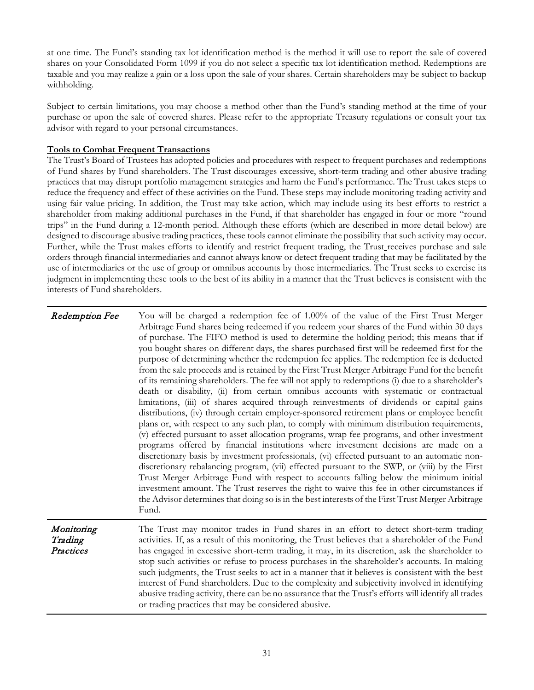at one time. The Fund's standing tax lot identification method is the method it will use to report the sale of covered shares on your Consolidated Form 1099 if you do not select a specific tax lot identification method. Redemptions are taxable and you may realize a gain or a loss upon the sale of your shares. Certain shareholders may be subject to backup withholding.

Subject to certain limitations, you may choose a method other than the Fund's standing method at the time of your purchase or upon the sale of covered shares. Please refer to the appropriate Treasury regulations or consult your tax advisor with regard to your personal circumstances.

## **Tools to Combat Frequent Transactions**

The Trust's Board of Trustees has adopted policies and procedures with respect to frequent purchases and redemptions of Fund shares by Fund shareholders. The Trust discourages excessive, short-term trading and other abusive trading practices that may disrupt portfolio management strategies and harm the Fund's performance. The Trust takes steps to reduce the frequency and effect of these activities on the Fund. These steps may include monitoring trading activity and using fair value pricing. In addition, the Trust may take action, which may include using its best efforts to restrict a shareholder from making additional purchases in the Fund, if that shareholder has engaged in four or more "round trips" in the Fund during a 12-month period. Although these efforts (which are described in more detail below) are designed to discourage abusive trading practices, these tools cannot eliminate the possibility that such activity may occur. Further, while the Trust makes efforts to identify and restrict frequent trading, the Trust receives purchase and sale orders through financial intermediaries and cannot always know or detect frequent trading that may be facilitated by the use of intermediaries or the use of group or omnibus accounts by those intermediaries. The Trust seeks to exercise its judgment in implementing these tools to the best of its ability in a manner that the Trust believes is consistent with the interests of Fund shareholders.

| Redemption Fee                     | You will be charged a redemption fee of 1.00% of the value of the First Trust Merger<br>Arbitrage Fund shares being redeemed if you redeem your shares of the Fund within 30 days<br>of purchase. The FIFO method is used to determine the holding period; this means that if<br>you bought shares on different days, the shares purchased first will be redeemed first for the<br>purpose of determining whether the redemption fee applies. The redemption fee is deducted<br>from the sale proceeds and is retained by the First Trust Merger Arbitrage Fund for the benefit<br>of its remaining shareholders. The fee will not apply to redemptions (i) due to a shareholder's<br>death or disability, (ii) from certain omnibus accounts with systematic or contractual<br>limitations, (iii) of shares acquired through reinvestments of dividends or capital gains<br>distributions, (iv) through certain employer-sponsored retirement plans or employee benefit<br>plans or, with respect to any such plan, to comply with minimum distribution requirements,<br>(v) effected pursuant to asset allocation programs, wrap fee programs, and other investment<br>programs offered by financial institutions where investment decisions are made on a<br>discretionary basis by investment professionals, (vi) effected pursuant to an automatic non-<br>discretionary rebalancing program, (vii) effected pursuant to the SWP, or (viii) by the First<br>Trust Merger Arbitrage Fund with respect to accounts falling below the minimum initial<br>investment amount. The Trust reserves the right to waive this fee in other circumstances if<br>the Advisor determines that doing so is in the best interests of the First Trust Merger Arbitrage<br>Fund. |
|------------------------------------|----------------------------------------------------------------------------------------------------------------------------------------------------------------------------------------------------------------------------------------------------------------------------------------------------------------------------------------------------------------------------------------------------------------------------------------------------------------------------------------------------------------------------------------------------------------------------------------------------------------------------------------------------------------------------------------------------------------------------------------------------------------------------------------------------------------------------------------------------------------------------------------------------------------------------------------------------------------------------------------------------------------------------------------------------------------------------------------------------------------------------------------------------------------------------------------------------------------------------------------------------------------------------------------------------------------------------------------------------------------------------------------------------------------------------------------------------------------------------------------------------------------------------------------------------------------------------------------------------------------------------------------------------------------------------------------------------------------------------------------------------------------------|
| Monitoring<br>Trading<br>Practices | The Trust may monitor trades in Fund shares in an effort to detect short-term trading<br>activities. If, as a result of this monitoring, the Trust believes that a shareholder of the Fund<br>has engaged in excessive short-term trading, it may, in its discretion, ask the shareholder to<br>stop such activities or refuse to process purchases in the shareholder's accounts. In making<br>such judgments, the Trust seeks to act in a manner that it believes is consistent with the best<br>interest of Fund shareholders. Due to the complexity and subjectivity involved in identifying<br>abusive trading activity, there can be no assurance that the Trust's efforts will identify all trades<br>or trading practices that may be considered abusive.                                                                                                                                                                                                                                                                                                                                                                                                                                                                                                                                                                                                                                                                                                                                                                                                                                                                                                                                                                                                    |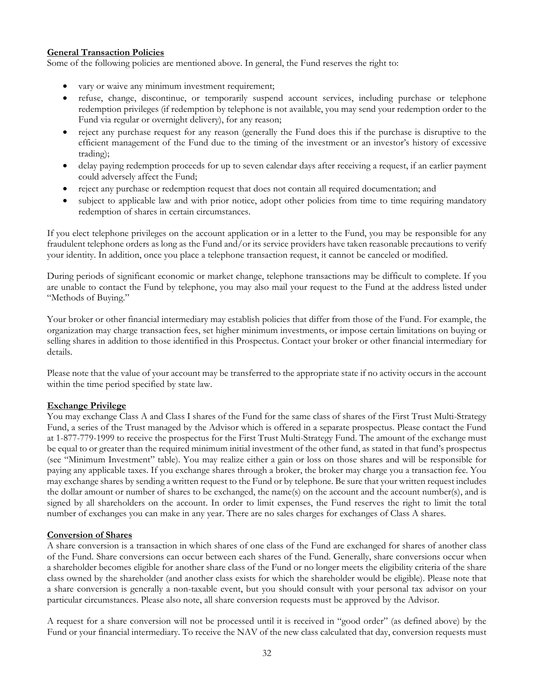## **General Transaction Policies**

Some of the following policies are mentioned above. In general, the Fund reserves the right to:

- vary or waive any minimum investment requirement;
- refuse, change, discontinue, or temporarily suspend account services, including purchase or telephone redemption privileges (if redemption by telephone is not available, you may send your redemption order to the Fund via regular or overnight delivery), for any reason;
- reject any purchase request for any reason (generally the Fund does this if the purchase is disruptive to the efficient management of the Fund due to the timing of the investment or an investor's history of excessive trading);
- delay paying redemption proceeds for up to seven calendar days after receiving a request, if an earlier payment could adversely affect the Fund;
- reject any purchase or redemption request that does not contain all required documentation; and
- subject to applicable law and with prior notice, adopt other policies from time to time requiring mandatory redemption of shares in certain circumstances.

If you elect telephone privileges on the account application or in a letter to the Fund, you may be responsible for any fraudulent telephone orders as long as the Fund and/or its service providers have taken reasonable precautions to verify your identity. In addition, once you place a telephone transaction request, it cannot be canceled or modified.

During periods of significant economic or market change, telephone transactions may be difficult to complete. If you are unable to contact the Fund by telephone, you may also mail your request to the Fund at the address listed under "Methods of Buying."

Your broker or other financial intermediary may establish policies that differ from those of the Fund. For example, the organization may charge transaction fees, set higher minimum investments, or impose certain limitations on buying or selling shares in addition to those identified in this Prospectus. Contact your broker or other financial intermediary for details.

Please note that the value of your account may be transferred to the appropriate state if no activity occurs in the account within the time period specified by state law.

## **Exchange Privilege**

You may exchange Class A and Class I shares of the Fund for the same class of shares of the First Trust Multi-Strategy Fund, a series of the Trust managed by the Advisor which is offered in a separate prospectus. Please contact the Fund at 1-877-779-1999 to receive the prospectus for the First Trust Multi-Strategy Fund. The amount of the exchange must be equal to or greater than the required minimum initial investment of the other fund, as stated in that fund's prospectus (see "Minimum Investment" table). You may realize either a gain or loss on those shares and will be responsible for paying any applicable taxes. If you exchange shares through a broker, the broker may charge you a transaction fee. You may exchange shares by sending a written request to the Fund or by telephone. Be sure that your written request includes the dollar amount or number of shares to be exchanged, the name(s) on the account and the account number(s), and is signed by all shareholders on the account. In order to limit expenses, the Fund reserves the right to limit the total number of exchanges you can make in any year. There are no sales charges for exchanges of Class A shares.

## **Conversion of Shares**

A share conversion is a transaction in which shares of one class of the Fund are exchanged for shares of another class of the Fund. Share conversions can occur between each shares of the Fund. Generally, share conversions occur when a shareholder becomes eligible for another share class of the Fund or no longer meets the eligibility criteria of the share class owned by the shareholder (and another class exists for which the shareholder would be eligible). Please note that a share conversion is generally a non-taxable event, but you should consult with your personal tax advisor on your particular circumstances. Please also note, all share conversion requests must be approved by the Advisor.

A request for a share conversion will not be processed until it is received in "good order" (as defined above) by the Fund or your financial intermediary. To receive the NAV of the new class calculated that day, conversion requests must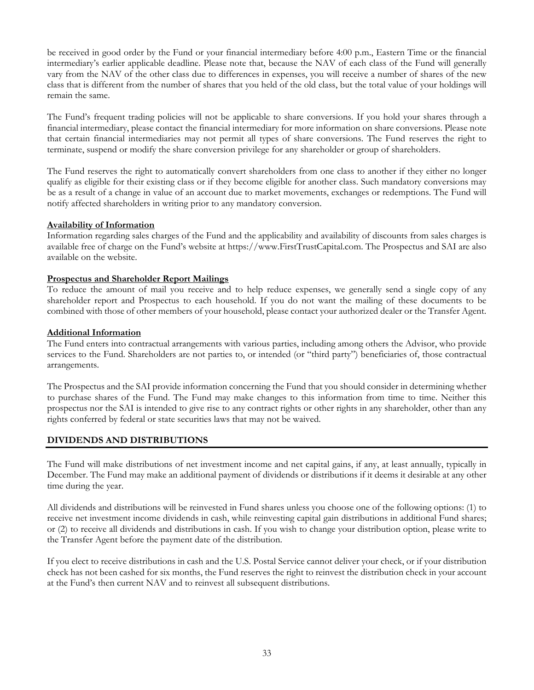be received in good order by the Fund or your financial intermediary before 4:00 p.m., Eastern Time or the financial intermediary's earlier applicable deadline. Please note that, because the NAV of each class of the Fund will generally vary from the NAV of the other class due to differences in expenses, you will receive a number of shares of the new class that is different from the number of shares that you held of the old class, but the total value of your holdings will remain the same.

The Fund's frequent trading policies will not be applicable to share conversions. If you hold your shares through a financial intermediary, please contact the financial intermediary for more information on share conversions. Please note that certain financial intermediaries may not permit all types of share conversions. The Fund reserves the right to terminate, suspend or modify the share conversion privilege for any shareholder or group of shareholders.

The Fund reserves the right to automatically convert shareholders from one class to another if they either no longer qualify as eligible for their existing class or if they become eligible for another class. Such mandatory conversions may be as a result of a change in value of an account due to market movements, exchanges or redemptions. The Fund will notify affected shareholders in writing prior to any mandatory conversion.

#### **Availability of Information**

Information regarding sales charges of the Fund and the applicability and availability of discounts from sales charges is available free of charge on the Fund's website at https://www.FirstTrustCapital.com. The Prospectus and SAI are also available on the website.

#### **Prospectus and Shareholder Report Mailings**

To reduce the amount of mail you receive and to help reduce expenses, we generally send a single copy of any shareholder report and Prospectus to each household. If you do not want the mailing of these documents to be combined with those of other members of your household, please contact your authorized dealer or the Transfer Agent.

#### **Additional Information**

The Fund enters into contractual arrangements with various parties, including among others the Advisor, who provide services to the Fund. Shareholders are not parties to, or intended (or "third party") beneficiaries of, those contractual arrangements.

The Prospectus and the SAI provide information concerning the Fund that you should consider in determining whether to purchase shares of the Fund. The Fund may make changes to this information from time to time. Neither this prospectus nor the SAI is intended to give rise to any contract rights or other rights in any shareholder, other than any rights conferred by federal or state securities laws that may not be waived.

## **DIVIDENDS AND DISTRIBUTIONS**

The Fund will make distributions of net investment income and net capital gains, if any, at least annually, typically in December. The Fund may make an additional payment of dividends or distributions if it deems it desirable at any other time during the year.

All dividends and distributions will be reinvested in Fund shares unless you choose one of the following options: (1) to receive net investment income dividends in cash, while reinvesting capital gain distributions in additional Fund shares; or (2) to receive all dividends and distributions in cash. If you wish to change your distribution option, please write to the Transfer Agent before the payment date of the distribution.

If you elect to receive distributions in cash and the U.S. Postal Service cannot deliver your check, or if your distribution check has not been cashed for six months, the Fund reserves the right to reinvest the distribution check in your account at the Fund's then current NAV and to reinvest all subsequent distributions.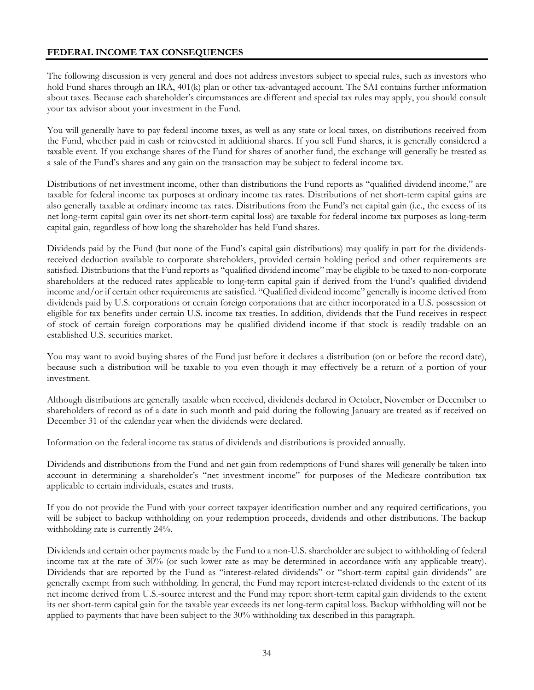# **FEDERAL INCOME TAX CONSEQUENCES**

The following discussion is very general and does not address investors subject to special rules, such as investors who hold Fund shares through an IRA, 401(k) plan or other tax-advantaged account. The SAI contains further information about taxes. Because each shareholder's circumstances are different and special tax rules may apply, you should consult your tax advisor about your investment in the Fund.

You will generally have to pay federal income taxes, as well as any state or local taxes, on distributions received from the Fund, whether paid in cash or reinvested in additional shares. If you sell Fund shares, it is generally considered a taxable event. If you exchange shares of the Fund for shares of another fund, the exchange will generally be treated as a sale of the Fund's shares and any gain on the transaction may be subject to federal income tax.

Distributions of net investment income, other than distributions the Fund reports as "qualified dividend income," are taxable for federal income tax purposes at ordinary income tax rates. Distributions of net short-term capital gains are also generally taxable at ordinary income tax rates. Distributions from the Fund's net capital gain (i.e., the excess of its net long-term capital gain over its net short-term capital loss) are taxable for federal income tax purposes as long-term capital gain, regardless of how long the shareholder has held Fund shares.

Dividends paid by the Fund (but none of the Fund's capital gain distributions) may qualify in part for the dividendsreceived deduction available to corporate shareholders, provided certain holding period and other requirements are satisfied. Distributions that the Fund reports as "qualified dividend income" may be eligible to be taxed to non-corporate shareholders at the reduced rates applicable to long-term capital gain if derived from the Fund's qualified dividend income and/or if certain other requirements are satisfied. "Qualified dividend income" generally is income derived from dividends paid by U.S. corporations or certain foreign corporations that are either incorporated in a U.S. possession or eligible for tax benefits under certain U.S. income tax treaties. In addition, dividends that the Fund receives in respect of stock of certain foreign corporations may be qualified dividend income if that stock is readily tradable on an established U.S. securities market.

You may want to avoid buying shares of the Fund just before it declares a distribution (on or before the record date), because such a distribution will be taxable to you even though it may effectively be a return of a portion of your investment.

Although distributions are generally taxable when received, dividends declared in October, November or December to shareholders of record as of a date in such month and paid during the following January are treated as if received on December 31 of the calendar year when the dividends were declared.

Information on the federal income tax status of dividends and distributions is provided annually.

Dividends and distributions from the Fund and net gain from redemptions of Fund shares will generally be taken into account in determining a shareholder's "net investment income" for purposes of the Medicare contribution tax applicable to certain individuals, estates and trusts.

If you do not provide the Fund with your correct taxpayer identification number and any required certifications, you will be subject to backup withholding on your redemption proceeds, dividends and other distributions. The backup withholding rate is currently 24%.

Dividends and certain other payments made by the Fund to a non-U.S. shareholder are subject to withholding of federal income tax at the rate of 30% (or such lower rate as may be determined in accordance with any applicable treaty). Dividends that are reported by the Fund as "interest-related dividends" or "short-term capital gain dividends" are generally exempt from such withholding. In general, the Fund may report interest-related dividends to the extent of its net income derived from U.S.-source interest and the Fund may report short-term capital gain dividends to the extent its net short-term capital gain for the taxable year exceeds its net long-term capital loss. Backup withholding will not be applied to payments that have been subject to the 30% withholding tax described in this paragraph.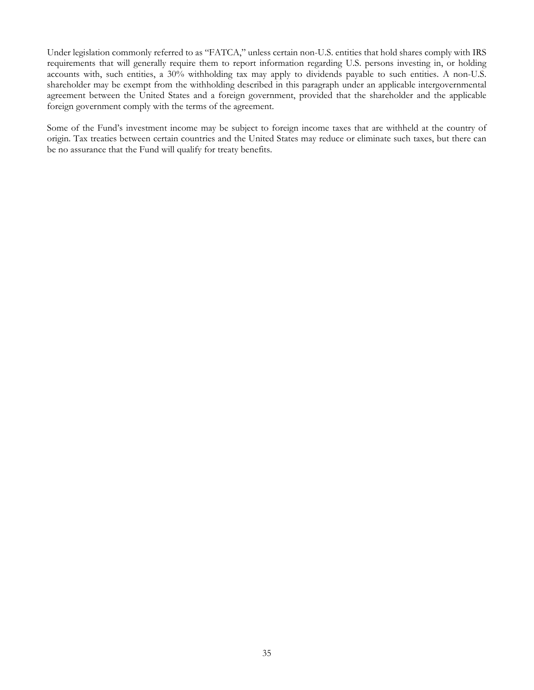Under legislation commonly referred to as "FATCA," unless certain non-U.S. entities that hold shares comply with IRS requirements that will generally require them to report information regarding U.S. persons investing in, or holding accounts with, such entities, a 30% withholding tax may apply to dividends payable to such entities. A non-U.S. shareholder may be exempt from the withholding described in this paragraph under an applicable intergovernmental agreement between the United States and a foreign government, provided that the shareholder and the applicable foreign government comply with the terms of the agreement.

Some of the Fund's investment income may be subject to foreign income taxes that are withheld at the country of origin. Tax treaties between certain countries and the United States may reduce or eliminate such taxes, but there can be no assurance that the Fund will qualify for treaty benefits.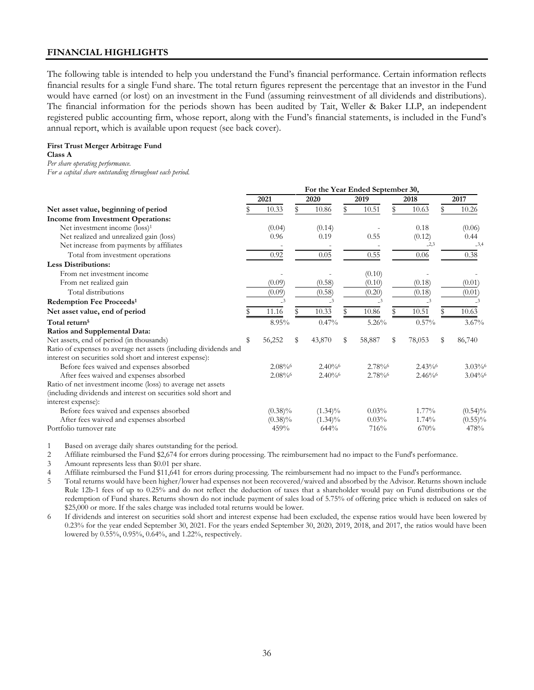## **FINANCIAL HIGHLIGHTS**

The following table is intended to help you understand the Fund's financial performance. Certain information reflects financial results for a single Fund share. The total return figures represent the percentage that an investor in the Fund would have earned (or lost) on an investment in the Fund (assuming reinvestment of all dividends and distributions). The financial information for the periods shown has been audited by Tait, Weller & Baker LLP, an independent registered public accounting firm, whose report, along with the Fund's financial statements, is included in the Fund's annual report, which is available upon request (see back cover).

#### **First Trust Merger Arbitrage Fund**

**Class A**

*Per share operating performance.*

*For a capital share outstanding throughout each period.*

|                                                                  | For the Year Ended September 30, |                         |    |                         |    |                          |   |          |   |                          |
|------------------------------------------------------------------|----------------------------------|-------------------------|----|-------------------------|----|--------------------------|---|----------|---|--------------------------|
|                                                                  |                                  | 2021                    |    | 2020                    |    | 2019                     |   | 2018     |   | 2017                     |
| Net asset value, beginning of period                             |                                  | 10.33                   |    | 10.86                   |    | 10.51                    | S | 10.63    |   | 10.26                    |
| Income from Investment Operations:                               |                                  |                         |    |                         |    |                          |   |          |   |                          |
| Net investment income (loss) <sup>1</sup>                        |                                  | (0.04)                  |    | (0.14)                  |    |                          |   | 0.18     |   | (0.06)                   |
| Net realized and unrealized gain (loss)                          |                                  | 0.96                    |    | 0.19                    |    | 0.55                     |   | (0.12)   |   | 0.44                     |
| Net increase from payments by affiliates                         |                                  |                         |    |                         |    |                          |   | $-2,3$   |   | $-3,4$                   |
| Total from investment operations                                 |                                  | 0.92                    |    | 0.05                    |    | 0.55                     |   | 0.06     |   | 0.38                     |
| <b>Less Distributions:</b>                                       |                                  |                         |    |                         |    |                          |   |          |   |                          |
| From net investment income                                       |                                  |                         |    |                         |    | (0.10)                   |   |          |   |                          |
| From net realized gain                                           |                                  | (0.09)                  |    | (0.58)                  |    | (0.10)                   |   | (0.18)   |   | (0.01)                   |
| Total distributions                                              |                                  | (0.09)                  |    | (0.58)                  |    | (0.20)                   |   | (0.18)   |   | (0.01)                   |
| Redemption Fee Proceeds <sup>1</sup>                             |                                  | $\overline{\mathbf{3}}$ |    | $\overline{\mathbf{3}}$ |    | $\overline{\mathcal{L}}$ |   | $-3$     |   | $\overline{\mathcal{Z}}$ |
| Net asset value, end of period                                   |                                  | 11.16                   |    | 10.33                   |    | 10.86                    |   | 10.51    |   | 10.63                    |
| Total return <sup>5</sup>                                        |                                  | 8.95%                   |    | 0.47%                   |    | 5.26%                    |   | $0.57\%$ |   | $3.67\%$                 |
| Ratios and Supplemental Data:                                    |                                  |                         |    |                         |    |                          |   |          |   |                          |
| Net assets, end of period (in thousands)                         | \$                               | 56,252                  | \$ | 43,870                  | \$ | 58,887                   | S | 78,053   | S | 86,740                   |
| Ratio of expenses to average net assets (including dividends and |                                  |                         |    |                         |    |                          |   |          |   |                          |
| interest on securities sold short and interest expense):         |                                  |                         |    |                         |    |                          |   |          |   |                          |
| Before fees waived and expenses absorbed                         |                                  | 2.08%                   |    | $2.40\%$                |    | 2.78%                    |   | $2.43\%$ |   | $3.03\%$                 |
| After fees waived and expenses absorbed                          |                                  | 2.08%                   |    | $2.40\%$                |    | 2.78%                    |   | $2.46\%$ |   | $3.04\%$                 |
| Ratio of net investment income (loss) to average net assets      |                                  |                         |    |                         |    |                          |   |          |   |                          |
| (including dividends and interest on securities sold short and   |                                  |                         |    |                         |    |                          |   |          |   |                          |
| interest expense):                                               |                                  |                         |    |                         |    |                          |   |          |   |                          |
| Before fees waived and expenses absorbed                         |                                  | $(0.38)\%$              |    | $(1.34)\%$              |    | 0.03%                    |   | $1.77\%$ |   | $(0.54)\%$               |
| After fees waived and expenses absorbed                          |                                  | $(0.38)\%$              |    | $(1.34)\%$              |    | 0.03%                    |   | 1.74%    |   | $(0.55)\%$               |
| Portfolio turnover rate                                          |                                  | 459%                    |    | 644%                    |    | 716%                     |   | 670%     |   | 478%                     |

1 Based on average daily shares outstanding for the period.

2 Affiliate reimbursed the Fund \$2,674 for errors during processing. The reimbursement had no impact to the Fund's performance.

3 Amount represents less than \$0.01 per share.

4 Affiliate reimbursed the Fund \$11,641 for errors during processing. The reimbursement had no impact to the Fund's performance.

5 Total returns would have been higher/lower had expenses not been recovered/waived and absorbed by the Advisor. Returns shown include Rule 12b-1 fees of up to 0.25% and do not reflect the deduction of taxes that a shareholder would pay on Fund distributions or the redemption of Fund shares. Returns shown do not include payment of sales load of 5.75% of offering price which is reduced on sales of \$25,000 or more. If the sales charge was included total returns would be lower.

6 If dividends and interest on securities sold short and interest expense had been excluded, the expense ratios would have been lowered by 0.23% for the year ended September 30, 2021. For the years ended September 30, 2020, 2019, 2018, and 2017, the ratios would have been lowered by 0.55%, 0.95%, 0.64%, and 1.22%, respectively.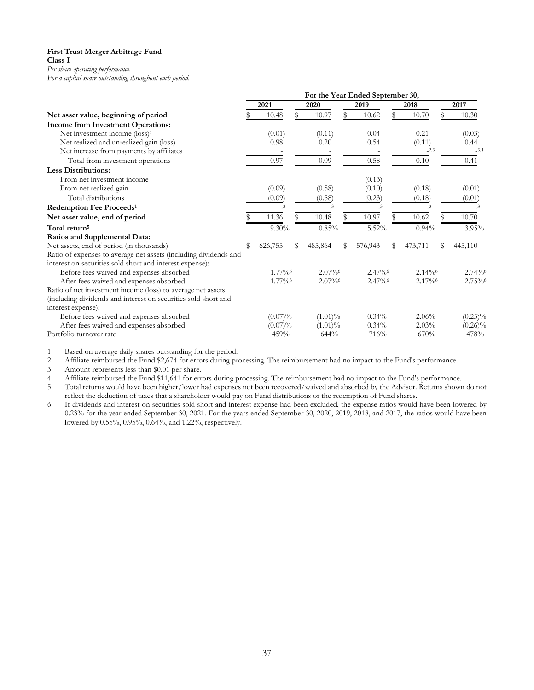#### **First Trust Merger Arbitrage Fund Class I**

*Per share operating performance.*

*For a capital share outstanding throughout each period.*

|                                                                  | For the Year Ended September 30, |                         |    |            |   |                         |    |                         |    |                         |  |
|------------------------------------------------------------------|----------------------------------|-------------------------|----|------------|---|-------------------------|----|-------------------------|----|-------------------------|--|
|                                                                  | 2021                             |                         |    | 2020       |   | 2019                    |    | 2018                    |    | 2017                    |  |
| Net asset value, beginning of period                             |                                  | 10.48                   |    | 10.97      |   | 10.62                   | \$ | 10.70                   |    | 10.30                   |  |
| Income from Investment Operations:                               |                                  |                         |    |            |   |                         |    |                         |    |                         |  |
| Net investment income (loss) <sup>1</sup>                        |                                  | (0.01)                  |    | (0.11)     |   | 0.04                    |    | 0.21                    |    | (0.03)                  |  |
| Net realized and unrealized gain (loss)                          |                                  | 0.98                    |    | 0.20       |   | 0.54                    |    | (0.11)                  |    | 0.44                    |  |
| Net increase from payments by affiliates                         |                                  |                         |    |            |   |                         |    | $-2,3$                  |    | $-3,4$                  |  |
| Total from investment operations                                 |                                  | 0.97                    |    | 0.09       |   | 0.58                    |    | 0.10                    |    | 0.41                    |  |
| <b>Less Distributions:</b>                                       |                                  |                         |    |            |   |                         |    |                         |    |                         |  |
| From net investment income                                       |                                  |                         |    |            |   | (0.13)                  |    |                         |    |                         |  |
| From net realized gain                                           |                                  | (0.09)                  |    | (0.58)     |   | (0.10)                  |    | (0.18)                  |    | (0.01)                  |  |
| Total distributions                                              |                                  | (0.09)                  |    | (0.58)     |   | (0.23)                  |    | (0.18)                  |    | (0.01)                  |  |
| Redemption Fee Proceeds <sup>1</sup>                             |                                  | $\overline{\mathbf{3}}$ |    | $-3$       |   | $\overline{\mathbf{3}}$ |    | $\overline{\mathbf{3}}$ |    | $\overline{\mathbf{3}}$ |  |
| Net asset value, end of period                                   |                                  | 11.36                   |    | 10.48      |   | 10.97                   |    | 10.62                   |    | 10.70                   |  |
| Total return <sup>5</sup>                                        |                                  | $9.30\%$                |    | 0.85%      |   | 5.52%                   |    | 0.94%                   |    | 3.95%                   |  |
| Ratios and Supplemental Data:                                    |                                  |                         |    |            |   |                         |    |                         |    |                         |  |
| Net assets, end of period (in thousands)                         | S                                | 626,755                 | \$ | 485,864    | S | 576,943                 | S  | 473,711                 | \$ | 445,110                 |  |
| Ratio of expenses to average net assets (including dividends and |                                  |                         |    |            |   |                         |    |                         |    |                         |  |
| interest on securities sold short and interest expense):         |                                  |                         |    |            |   |                         |    |                         |    |                         |  |
| Before fees waived and expenses absorbed                         |                                  | 1.77%                   |    | $2.07\%$   |   | 2.47%                   |    | $2.14\%$                |    | $2.74\%$                |  |
| After fees waived and expenses absorbed                          |                                  | 1.77%                   |    | $2.07\%$   |   | $2.47\%$                |    | 2.17%                   |    | $2.75\%$                |  |
| Ratio of net investment income (loss) to average net assets      |                                  |                         |    |            |   |                         |    |                         |    |                         |  |
| (including dividends and interest on securities sold short and   |                                  |                         |    |            |   |                         |    |                         |    |                         |  |
| interest expense):                                               |                                  |                         |    |            |   |                         |    |                         |    |                         |  |
| Before fees waived and expenses absorbed                         |                                  | $(0.07)\%$              |    | $(1.01)\%$ |   | 0.34%                   |    | 2.06%                   |    | $(0.25)\%$              |  |
| After fees waived and expenses absorbed                          |                                  | $(0.07)\%$              |    | $(1.01)\%$ |   | 0.34%                   |    | 2.03%                   |    | $(0.26)\%$              |  |
| Portfolio turnover rate                                          |                                  | 459%                    |    | 644%       |   | 716%                    |    | 670%                    |    | 478%                    |  |

1 Based on average daily shares outstanding for the period.<br>2 Affiliate reimbursed the Fund \$2,674 for errors during pr

2 Affiliate reimbursed the Fund \$2,674 for errors during processing. The reimbursement had no impact to the Fund's performance.<br>2 Amount represents less than \$0.01 per share.

3 Amount represents less than \$0.01 per share.<br>4 Affiliate reimbursed the Fund \$11.641 for errors

4 Affiliate reimbursed the Fund \$11,641 for errors during processing. The reimbursement had no impact to the Fund's performance.<br>4 Total returns would have been higher/lower had expenses not been recovered/waived and absor

5 Total returns would have been higher/lower had expenses not been recovered/waived and absorbed by the Advisor. Returns shown do not reflect the deduction of taxes that a shareholder would pay on Fund distributions or the redemption of Fund shares.

6 If dividends and interest on securities sold short and interest expense had been excluded, the expense ratios would have been lowered by 0.23% for the year ended September 30, 2021. For the years ended September 30, 2020, 2019, 2018, and 2017, the ratios would have been lowered by 0.55%, 0.95%, 0.64%, and 1.22%, respectively.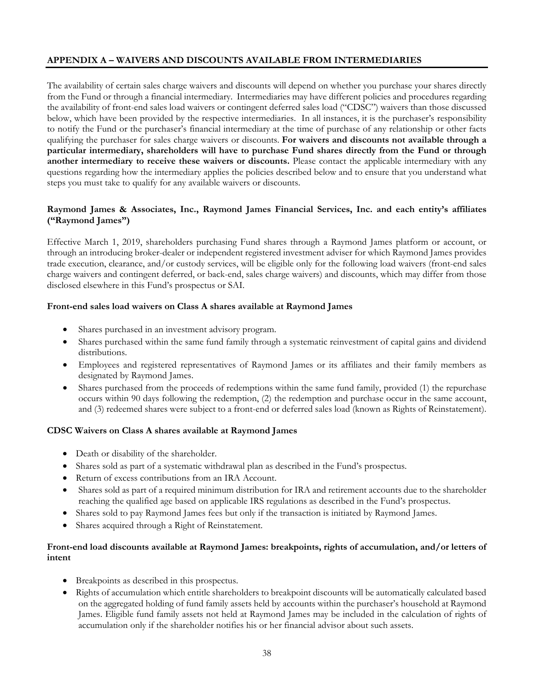# **APPENDIX A – WAIVERS AND DISCOUNTS AVAILABLE FROM INTERMEDIARIES**

The availability of certain sales charge waivers and discounts will depend on whether you purchase your shares directly from the Fund or through a financial intermediary. Intermediaries may have different policies and procedures regarding the availability of front-end sales load waivers or contingent deferred sales load ("CDSC") waivers than those discussed below, which have been provided by the respective intermediaries. In all instances, it is the purchaser's responsibility to notify the Fund or the purchaser's financial intermediary at the time of purchase of any relationship or other facts qualifying the purchaser for sales charge waivers or discounts. **For waivers and discounts not available through a particular intermediary, shareholders will have to purchase Fund shares directly from the Fund or through another intermediary to receive these waivers or discounts.** Please contact the applicable intermediary with any questions regarding how the intermediary applies the policies described below and to ensure that you understand what steps you must take to qualify for any available waivers or discounts.

# **Raymond James & Associates, Inc., Raymond James Financial Services, Inc. and each entity's affiliates ("Raymond James")**

Effective March 1, 2019, shareholders purchasing Fund shares through a Raymond James platform or account, or through an introducing broker-dealer or independent registered investment adviser for which Raymond James provides trade execution, clearance, and/or custody services, will be eligible only for the following load waivers (front-end sales charge waivers and contingent deferred, or back-end, sales charge waivers) and discounts, which may differ from those disclosed elsewhere in this Fund's prospectus or SAI.

## **Front-end sales load waivers on Class A shares available at Raymond James**

- Shares purchased in an investment advisory program.
- Shares purchased within the same fund family through a systematic reinvestment of capital gains and dividend distributions.
- Employees and registered representatives of Raymond James or its affiliates and their family members as designated by Raymond James.
- Shares purchased from the proceeds of redemptions within the same fund family, provided (1) the repurchase occurs within 90 days following the redemption, (2) the redemption and purchase occur in the same account, and (3) redeemed shares were subject to a front-end or deferred sales load (known as Rights of Reinstatement).

## **CDSC Waivers on Class A shares available at Raymond James**

- Death or disability of the shareholder.
- Shares sold as part of a systematic withdrawal plan as described in the Fund's prospectus.
- Return of excess contributions from an IRA Account.
- Shares sold as part of a required minimum distribution for IRA and retirement accounts due to the shareholder reaching the qualified age based on applicable IRS regulations as described in the Fund's prospectus.
- Shares sold to pay Raymond James fees but only if the transaction is initiated by Raymond James.
- Shares acquired through a Right of Reinstatement.

# **Front-end load discounts available at Raymond James: breakpoints, rights of accumulation, and/or letters of intent**

- Breakpoints as described in this prospectus.
- Rights of accumulation which entitle shareholders to breakpoint discounts will be automatically calculated based on the aggregated holding of fund family assets held by accounts within the purchaser's household at Raymond James. Eligible fund family assets not held at Raymond James may be included in the calculation of rights of accumulation only if the shareholder notifies his or her financial advisor about such assets.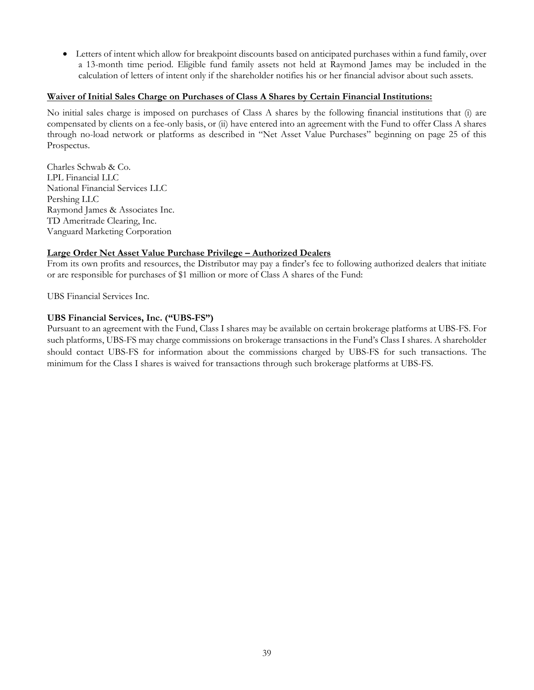• Letters of intent which allow for breakpoint discounts based on anticipated purchases within a fund family, over a 13-month time period. Eligible fund family assets not held at Raymond James may be included in the calculation of letters of intent only if the shareholder notifies his or her financial advisor about such assets.

#### **Waiver of Initial Sales Charge on Purchases of Class A Shares by Certain Financial Institutions:**

No initial sales charge is imposed on purchases of Class A shares by the following financial institutions that (i) are compensated by clients on a fee-only basis, or (ii) have entered into an agreement with the Fund to offer Class A shares through no-load network or platforms as described in "Net Asset Value Purchases" beginning on page 25 of this Prospectus.

Charles Schwab & Co. LPL Financial LLC National Financial Services LLC Pershing LLC Raymond James & Associates Inc. TD Ameritrade Clearing, Inc. Vanguard Marketing Corporation

#### **Large Order Net Asset Value Purchase Privilege – Authorized Dealers**

From its own profits and resources, the Distributor may pay a finder's fee to following authorized dealers that initiate or are responsible for purchases of \$1 million or more of Class A shares of the Fund:

UBS Financial Services Inc.

#### **UBS Financial Services, Inc. ("UBS-FS")**

Pursuant to an agreement with the Fund, Class I shares may be available on certain brokerage platforms at UBS-FS. For such platforms, UBS-FS may charge commissions on brokerage transactions in the Fund's Class I shares. A shareholder should contact UBS-FS for information about the commissions charged by UBS-FS for such transactions. The minimum for the Class I shares is waived for transactions through such brokerage platforms at UBS-FS.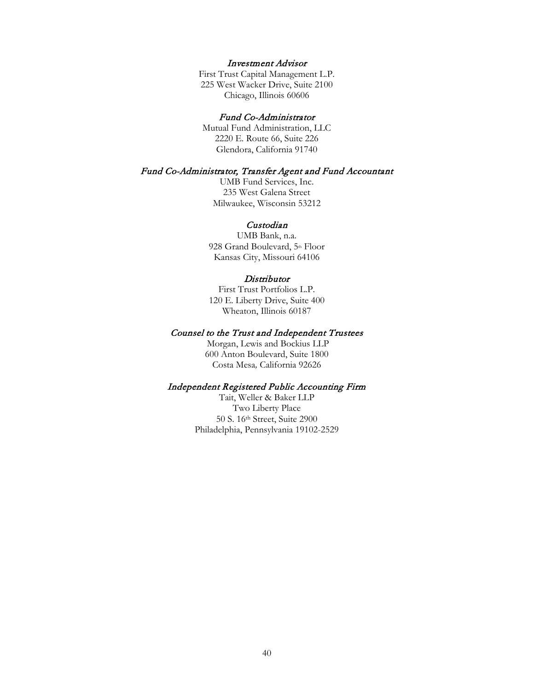#### Investment Advisor

First Trust Capital Management L.P. 225 West Wacker Drive, Suite 2100 Chicago, Illinois 60606

#### Fund Co-Administrator

Mutual Fund Administration, LLC 2220 E. Route 66, Suite 226 Glendora, California 91740

#### Fund Co-Administrator, Transfer Agent and Fund Accountant

UMB Fund Services, Inc. 235 West Galena Street Milwaukee, Wisconsin 53212

### Custodian

UMB Bank, n.a. 928 Grand Boulevard, 5th Floor Kansas City, Missouri 64106

#### **Distributor**

First Trust Portfolios L.P. 120 E. Liberty Drive, Suite 400 Wheaton, Illinois 60187

#### Counsel to the Trust and Independent Trustees

 Morgan, Lewis and Bockius LLP 600 Anton Boulevard, Suite 1800 Costa Mesa*,* California 92626

#### Independent Registered Public Accounting Firm

Tait, Weller & Baker LLP Two Liberty Place 50 S. 16th Street, Suite 2900 Philadelphia, Pennsylvania 19102-2529